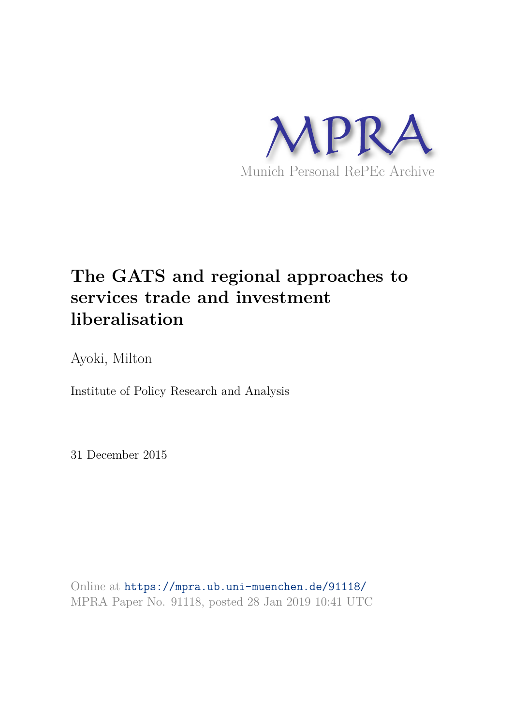

## **The GATS and regional approaches to services trade and investment liberalisation**

Ayoki, Milton

Institute of Policy Research and Analysis

31 December 2015

Online at https://mpra.ub.uni-muenchen.de/91118/ MPRA Paper No. 91118, posted 28 Jan 2019 10:41 UTC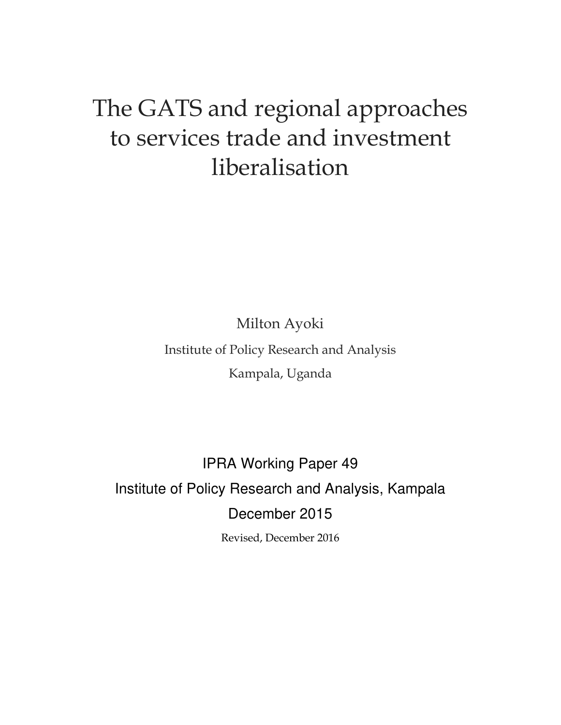# The GATS and regional approaches to services trade and investment liberalisation

Milton Ayoki

Institute of Policy Research and Analysis Kampala, Uganda

IPRA Working Paper 49 Institute of Policy Research and Analysis, Kampala December 2015

Revised, December 2016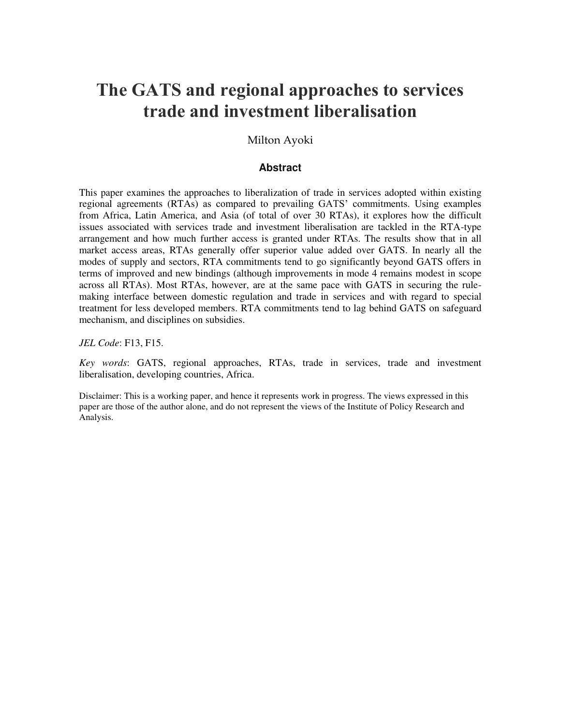## **The GATS and regional approaches to services trade and investment liberalisation**

Milton Ayoki

#### **Abstract**

<span id="page-2-0"></span>This paper examines the approaches to liberalization of trade in services adopted within existing regional agreements (RTAs) as compared to prevailing GATS' commitments. Using examples from Africa, Latin America, and Asia (of total of over 30 RTAs), it explores how the difficult issues associated with services trade and investment liberalisation are tackled in the RTA-type arrangement and how much further access is granted under RTAs. The results show that in all market access areas, RTAs generally offer superior value added over GATS. In nearly all the modes of supply and sectors, RTA commitments tend to go significantly beyond GATS offers in terms of improved and new bindings (although improvements in mode 4 remains modest in scope across all RTAs). Most RTAs, however, are at the same pace with GATS in securing the rulemaking interface between domestic regulation and trade in services and with regard to special treatment for less developed members. RTA commitments tend to lag behind GATS on safeguard mechanism, and disciplines on subsidies.

*JEL Code*: F13, F15.

*Key words*: GATS, regional approaches, RTAs, trade in services, trade and investment liberalisation, developing countries, Africa.

Disclaimer: This is a working paper, and hence it represents work in progress. The views expressed in this paper are those of the author alone, and do not represent the views of the Institute of Policy Research and Analysis.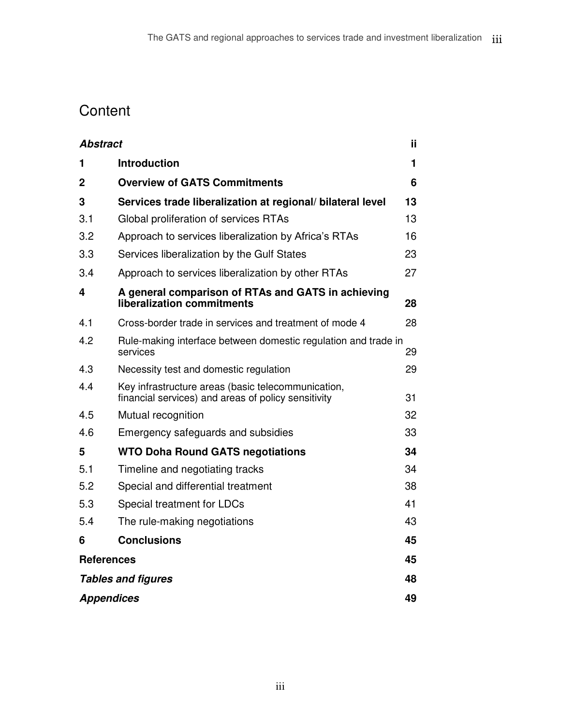## **Content**

| <b>Abstract</b>   |                                                                                                           | ij |
|-------------------|-----------------------------------------------------------------------------------------------------------|----|
| 1                 | <b>Introduction</b>                                                                                       | 1  |
| 2                 | <b>Overview of GATS Commitments</b>                                                                       | 6  |
| 3                 | Services trade liberalization at regional/ bilateral level                                                | 13 |
| 3.1               | Global proliferation of services RTAs                                                                     | 13 |
| 3.2               | Approach to services liberalization by Africa's RTAs                                                      | 16 |
| 3.3               | Services liberalization by the Gulf States                                                                | 23 |
| 3.4               | Approach to services liberalization by other RTAs                                                         | 27 |
| 4                 | A general comparison of RTAs and GATS in achieving<br>liberalization commitments                          | 28 |
| 4.1               | Cross-border trade in services and treatment of mode 4                                                    | 28 |
| 4.2               | Rule-making interface between domestic regulation and trade in<br>services                                | 29 |
| 4.3               | Necessity test and domestic regulation                                                                    | 29 |
| 4.4               | Key infrastructure areas (basic telecommunication,<br>financial services) and areas of policy sensitivity | 31 |
| 4.5               | Mutual recognition                                                                                        | 32 |
| 4.6               | Emergency safeguards and subsidies                                                                        | 33 |
| 5                 | <b>WTO Doha Round GATS negotiations</b>                                                                   | 34 |
| 5.1               | Timeline and negotiating tracks                                                                           | 34 |
| 5.2               | Special and differential treatment                                                                        | 38 |
| 5.3               | Special treatment for LDCs                                                                                | 41 |
| 5.4               | The rule-making negotiations                                                                              | 43 |
| 6                 | <b>Conclusions</b>                                                                                        | 45 |
| <b>References</b> |                                                                                                           | 45 |
|                   | <b>Tables and figures</b>                                                                                 | 48 |
| <b>Appendices</b> |                                                                                                           | 49 |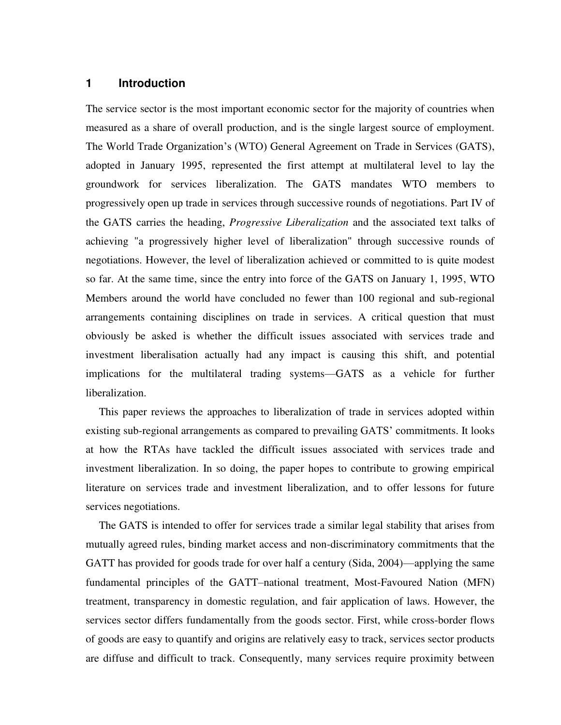#### <span id="page-5-0"></span>**1 Introduction**

The service sector is the most important economic sector for the majority of countries when measured as a share of overall production, and is the single largest source of employment. The World Trade Organization's (WTO) General Agreement on Trade in Services (GATS), adopted in January 1995, represented the first attempt at multilateral level to lay the groundwork for services liberalization. The GATS mandates WTO members to progressively open up trade in services through successive rounds of negotiations. Part IV of the GATS carries the heading, *Progressive Liberalization* and the associated text talks of achieving "a progressively higher level of liberalization" through successive rounds of negotiations. However, the level of liberalization achieved or committed to is quite modest so far. At the same time, since the entry into force of the GATS on January 1, 1995, WTO Members around the world have concluded no fewer than 100 regional and sub-regional arrangements containing disciplines on trade in services. A critical question that must obviously be asked is whether the difficult issues associated with services trade and investment liberalisation actually had any impact is causing this shift, and potential implications for the multilateral trading systems—GATS as a vehicle for further liberalization.

This paper reviews the approaches to liberalization of trade in services adopted within existing sub-regional arrangements as compared to prevailing GATS' commitments. It looks at how the RTAs have tackled the difficult issues associated with services trade and investment liberalization. In so doing, the paper hopes to contribute to growing empirical literature on services trade and investment liberalization, and to offer lessons for future services negotiations.

The GATS is intended to offer for services trade a similar legal stability that arises from mutually agreed rules, binding market access and non-discriminatory commitments that the GATT has provided for goods trade for over half a century (Sida, 2004)—applying the same fundamental principles of the GATT–national treatment, Most-Favoured Nation (MFN) treatment, transparency in domestic regulation, and fair application of laws. However, the services sector differs fundamentally from the goods sector. First, while cross-border flows of goods are easy to quantify and origins are relatively easy to track, services sector products are diffuse and difficult to track. Consequently, many services require proximity between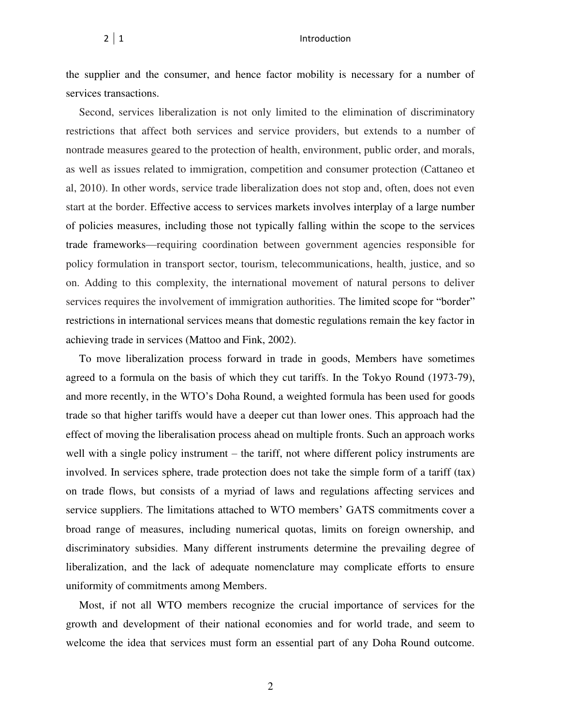the supplier and the consumer, and hence factor mobility is necessary for a number of services transactions.

Second, services liberalization is not only limited to the elimination of discriminatory restrictions that affect both services and service providers, but extends to a number of nontrade measures geared to the protection of health, environment, public order, and morals, as well as issues related to immigration, competition and consumer protection (Cattaneo et al, 2010). In other words, service trade liberalization does not stop and, often, does not even start at the border. Effective access to services markets involves interplay of a large number of policies measures, including those not typically falling within the scope to the services trade frameworks—requiring coordination between government agencies responsible for policy formulation in transport sector, tourism, telecommunications, health, justice, and so on. Adding to this complexity, the international movement of natural persons to deliver services requires the involvement of immigration authorities. The limited scope for "border" restrictions in international services means that domestic regulations remain the key factor in achieving trade in services (Mattoo and Fink, 2002).

To move liberalization process forward in trade in goods, Members have sometimes agreed to a formula on the basis of which they cut tariffs. In the Tokyo Round (1973-79), and more recently, in the WTO's Doha Round, a weighted formula has been used for goods trade so that higher tariffs would have a deeper cut than lower ones. This approach had the effect of moving the liberalisation process ahead on multiple fronts. Such an approach works well with a single policy instrument – the tariff, not where different policy instruments are involved. In services sphere, trade protection does not take the simple form of a tariff (tax) on trade flows, but consists of a myriad of laws and regulations affecting services and service suppliers. The limitations attached to WTO members' GATS commitments cover a broad range of measures, including numerical quotas, limits on foreign ownership, and discriminatory subsidies. Many different instruments determine the prevailing degree of liberalization, and the lack of adequate nomenclature may complicate efforts to ensure uniformity of commitments among Members.

Most, if not all WTO members recognize the crucial importance of services for the growth and development of their national economies and for world trade, and seem to welcome the idea that services must form an essential part of any Doha Round outcome.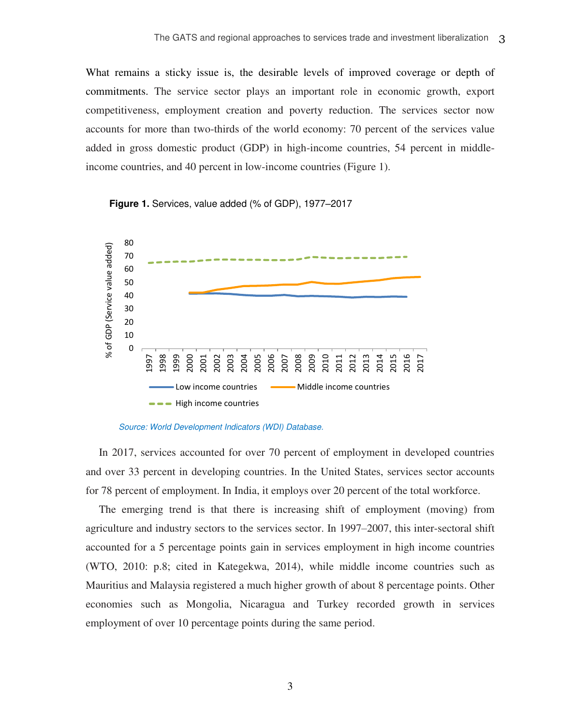What remains a sticky issue is, the desirable levels of improved coverage or depth of commitments. The service sector plays an important role in economic growth, export competitiveness, employment creation and poverty reduction. The services sector now accounts for more than two-thirds of the world economy: 70 percent of the services value added in gross domestic product (GDP) in high-income countries, 54 percent in middleincome countries, and 40 percent in low-income countries (Figure 1).

<span id="page-7-0"></span>**Figure 1.** Services, value added (% of GDP), 1977–2017



*Source: World Development Indicators (WDI) Database.* 

In 2017, services accounted for over 70 percent of employment in developed countries and over 33 percent in developing countries. In the United States, services sector accounts for 78 percent of employment. In India, it employs over 20 percent of the total workforce.

The emerging trend is that there is increasing shift of employment (moving) from agriculture and industry sectors to the services sector. In 1997–2007, this inter-sectoral shift accounted for a 5 percentage points gain in services employment in high income countries (WTO, 2010: p.8; cited in Kategekwa, 2014), while middle income countries such as Mauritius and Malaysia registered a much higher growth of about 8 percentage points. Other economies such as Mongolia, Nicaragua and Turkey recorded growth in services employment of over 10 percentage points during the same period.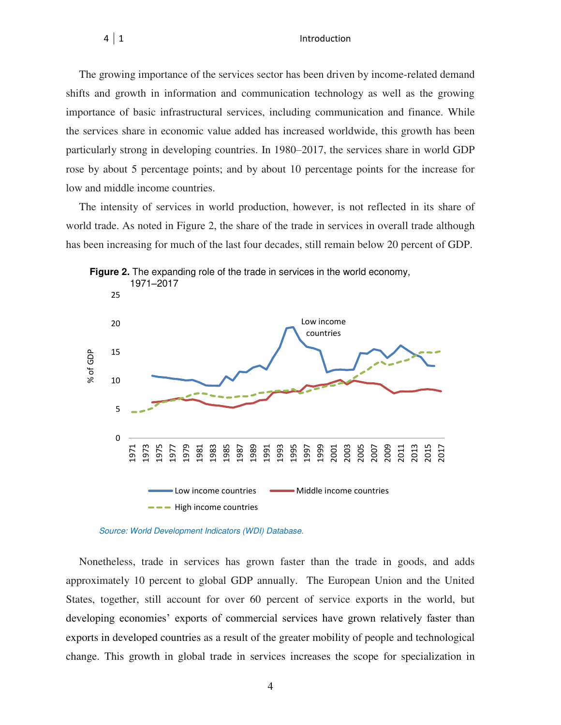The growing importance of the services sector has been driven by income-related demand shifts and growth in information and communication technology as well as the growing importance of basic infrastructural services, including communication and finance. While the services share in economic value added has increased worldwide, this growth has been particularly strong in developing countries. In 1980–2017, the services share in world GDP rose by about 5 percentage points; and by about 10 percentage points for the increase for low and middle income countries.

The intensity of services in world production, however, is not reflected in its share of world trade. As noted in Figure 2, the share of the trade in services in overall trade although has been increasing for much of the last four decades, still remain below 20 percent of GDP.



<span id="page-8-0"></span>

Nonetheless, trade in services has grown faster than the trade in goods, and adds approximately 10 percent to global GDP annually. The European Union and the United States, together, still account for over 60 percent of service exports in the world, but developing economies' exports of commercial services have grown relatively faster than exports in developed countries as a result of the greater mobility of people and technological change. This growth in global trade in services increases the scope for specialization in

*Source: World Development Indicators (WDI) Database.*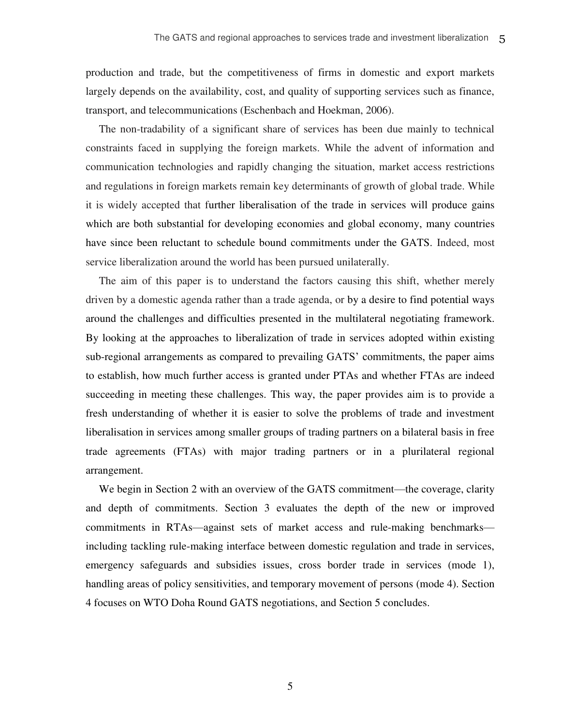production and trade, but the competitiveness of firms in domestic and export markets largely depends on the availability, cost, and quality of supporting services such as finance, transport, and telecommunications (Eschenbach and Hoekman, 2006).

The non-tradability of a significant share of services has been due mainly to technical constraints faced in supplying the foreign markets. While the advent of information and communication technologies and rapidly changing the situation, market access restrictions and regulations in foreign markets remain key determinants of growth of global trade. While it is widely accepted that further liberalisation of the trade in services will produce gains which are both substantial for developing economies and global economy, many countries have since been reluctant to schedule bound commitments under the GATS. Indeed, most service liberalization around the world has been pursued unilaterally.

The aim of this paper is to understand the factors causing this shift, whether merely driven by a domestic agenda rather than a trade agenda, or by a desire to find potential ways around the challenges and difficulties presented in the multilateral negotiating framework. By looking at the approaches to liberalization of trade in services adopted within existing sub-regional arrangements as compared to prevailing GATS' commitments, the paper aims to establish, how much further access is granted under PTAs and whether FTAs are indeed succeeding in meeting these challenges. This way, the paper provides aim is to provide a fresh understanding of whether it is easier to solve the problems of trade and investment liberalisation in services among smaller groups of trading partners on a bilateral basis in free trade agreements (FTAs) with major trading partners or in a plurilateral regional arrangement.

We begin in Section 2 with an overview of the GATS commitment—the coverage, clarity and depth of commitments. Section 3 evaluates the depth of the new or improved commitments in RTAs—against sets of market access and rule-making benchmarks including tackling rule-making interface between domestic regulation and trade in services, emergency safeguards and subsidies issues, cross border trade in services (mode 1), handling areas of policy sensitivities, and temporary movement of persons (mode 4). Section 4 focuses on WTO Doha Round GATS negotiations, and Section 5 concludes.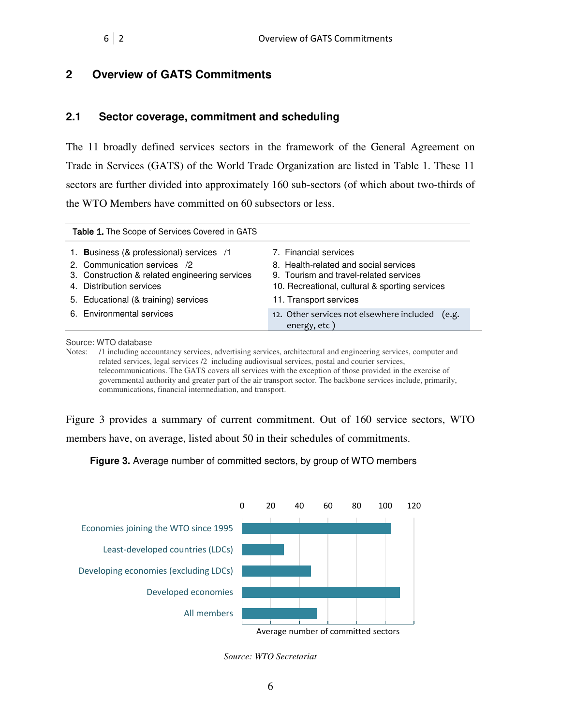#### <span id="page-10-0"></span>**2 Overview of GATS Commitments**

#### **2.1 Sector coverage, commitment and scheduling**

The 11 broadly defined services sectors in the framework of the General Agreement on Trade in Services (GATS) of the World Trade Organization are listed in Table 1. These 11 sectors are further divided into approximately 160 sub-sectors (of which about two-thirds of the WTO Members have committed on 60 subsectors or less.

<span id="page-10-1"></span>

| <b>Table 1.</b> The Scope of Services Covered in GATS                                                                                                  |                                                                                                                                                            |  |  |  |  |  |  |
|--------------------------------------------------------------------------------------------------------------------------------------------------------|------------------------------------------------------------------------------------------------------------------------------------------------------------|--|--|--|--|--|--|
| 1. Business (& professional) services /1<br>2. Communication services /2<br>3. Construction & related engineering services<br>4. Distribution services | 7. Financial services<br>8. Health-related and social services<br>9. Tourism and travel-related services<br>10. Recreational, cultural & sporting services |  |  |  |  |  |  |
| 5. Educational (& training) services                                                                                                                   | 11. Transport services                                                                                                                                     |  |  |  |  |  |  |
| 6. Environmental services                                                                                                                              | 12. Other services not elsewhere included<br>(e.g.<br>energy, etc)                                                                                         |  |  |  |  |  |  |

Source: WTO database

Notes: /1 including accountancy services, advertising services, architectural and engineering services, computer and related services, legal services /2 including audiovisual services, postal and courier services, telecommunications. The GATS covers all services with the exception of those provided in the exercise of governmental authority and greater part of the air transport sector. The backbone services include, primarily, communications, financial intermediation, and transport.

Figure 3 provides a summary of current commitment. Out of 160 service sectors, WTO members have, on average, listed about 50 in their schedules of commitments.

<span id="page-10-2"></span>**Figure 3.** Average number of committed sectors, by group of WTO members



*Source: WTO Secretariat*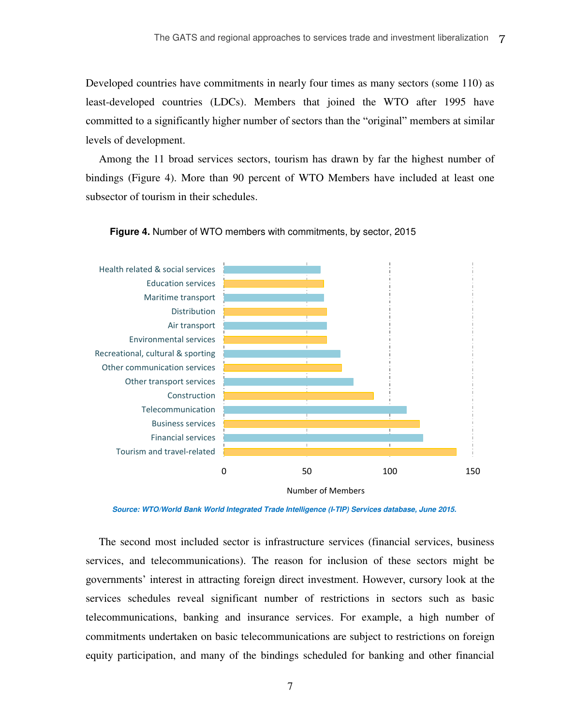Developed countries have commitments in nearly four times as many sectors (some 110) as least-developed countries (LDCs). Members that joined the WTO after 1995 have committed to a significantly higher number of sectors than the "original" members at similar levels of development.

Among the 11 broad services sectors, tourism has drawn by far the highest number of bindings (Figure 4). More than 90 percent of WTO Members have included at least one subsector of tourism in their schedules.



#### <span id="page-11-0"></span>**Figure 4.** Number of WTO members with commitments, by sector, 2015

*Source: WTO/World Bank World Integrated Trade Intelligence (I-TIP) Services database, June 2015.*

The second most included sector is infrastructure services (financial services, business services, and telecommunications). The reason for inclusion of these sectors might be governments' interest in attracting foreign direct investment. However, cursory look at the services schedules reveal significant number of restrictions in sectors such as basic telecommunications, banking and insurance services. For example, a high number of commitments undertaken on basic telecommunications are subject to restrictions on foreign equity participation, and many of the bindings scheduled for banking and other financial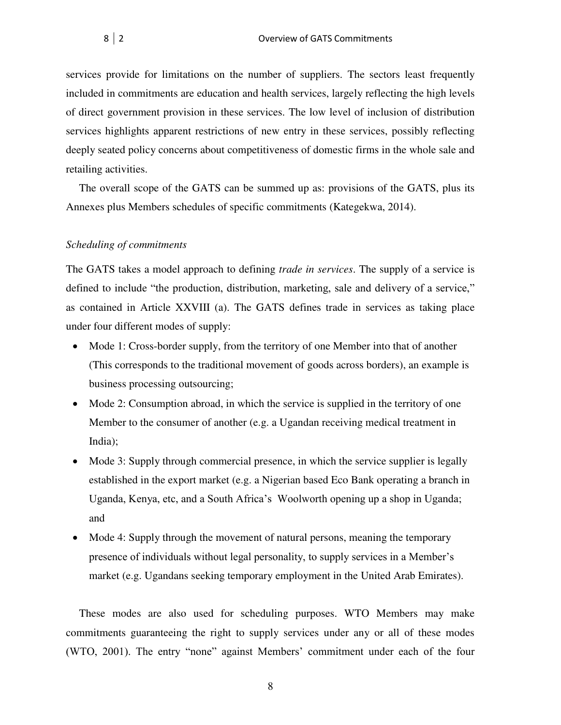services provide for limitations on the number of suppliers. The sectors least frequently included in commitments are education and health services, largely reflecting the high levels of direct government provision in these services. The low level of inclusion of distribution services highlights apparent restrictions of new entry in these services, possibly reflecting deeply seated policy concerns about competitiveness of domestic firms in the whole sale and retailing activities.

The overall scope of the GATS can be summed up as: provisions of the GATS, plus its Annexes plus Members schedules of specific commitments (Kategekwa, 2014).

#### *Scheduling of commitments*

The GATS takes a model approach to defining *trade in services*. The supply of a service is defined to include "the production, distribution, marketing, sale and delivery of a service," as contained in Article XXVIII (a). The GATS defines trade in services as taking place under four different modes of supply:

- Mode 1: Cross-border supply, from the territory of one Member into that of another (This corresponds to the traditional movement of goods across borders), an example is business processing outsourcing;
- Mode 2: Consumption abroad, in which the service is supplied in the territory of one Member to the consumer of another (e.g. a Ugandan receiving medical treatment in India);
- Mode 3: Supply through commercial presence, in which the service supplier is legally established in the export market (e.g. a Nigerian based Eco Bank operating a branch in Uganda, Kenya, etc, and a South Africa's Woolworth opening up a shop in Uganda; and
- Mode 4: Supply through the movement of natural persons, meaning the temporary presence of individuals without legal personality, to supply services in a Member's market (e.g. Ugandans seeking temporary employment in the United Arab Emirates).

These modes are also used for scheduling purposes. WTO Members may make commitments guaranteeing the right to supply services under any or all of these modes (WTO, 2001). The entry "none" against Members' commitment under each of the four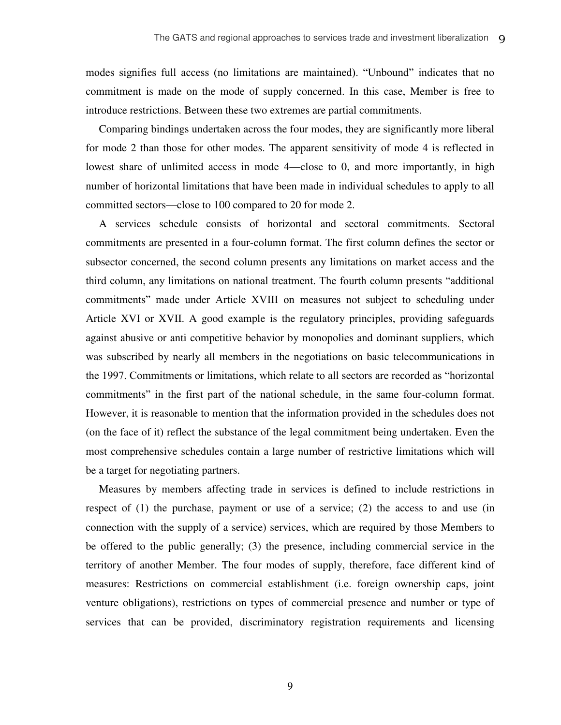modes signifies full access (no limitations are maintained). "Unbound" indicates that no commitment is made on the mode of supply concerned. In this case, Member is free to introduce restrictions. Between these two extremes are partial commitments.

Comparing bindings undertaken across the four modes, they are significantly more liberal for mode 2 than those for other modes. The apparent sensitivity of mode 4 is reflected in lowest share of unlimited access in mode 4—close to 0, and more importantly, in high number of horizontal limitations that have been made in individual schedules to apply to all committed sectors—close to 100 compared to 20 for mode 2.

A services schedule consists of horizontal and sectoral commitments. Sectoral commitments are presented in a four-column format. The first column defines the sector or subsector concerned, the second column presents any limitations on market access and the third column, any limitations on national treatment. The fourth column presents "additional commitments" made under Article XVIII on measures not subject to scheduling under Article XVI or XVII. A good example is the regulatory principles, providing safeguards against abusive or anti competitive behavior by monopolies and dominant suppliers, which was subscribed by nearly all members in the negotiations on basic telecommunications in the 1997. Commitments or limitations, which relate to all sectors are recorded as "horizontal commitments" in the first part of the national schedule, in the same four-column format. However, it is reasonable to mention that the information provided in the schedules does not (on the face of it) reflect the substance of the legal commitment being undertaken. Even the most comprehensive schedules contain a large number of restrictive limitations which will be a target for negotiating partners.

Measures by members affecting trade in services is defined to include restrictions in respect of (1) the purchase, payment or use of a service; (2) the access to and use (in connection with the supply of a service) services, which are required by those Members to be offered to the public generally; (3) the presence, including commercial service in the territory of another Member. The four modes of supply, therefore, face different kind of measures: Restrictions on commercial establishment (i.e. foreign ownership caps, joint venture obligations), restrictions on types of commercial presence and number or type of services that can be provided, discriminatory registration requirements and licensing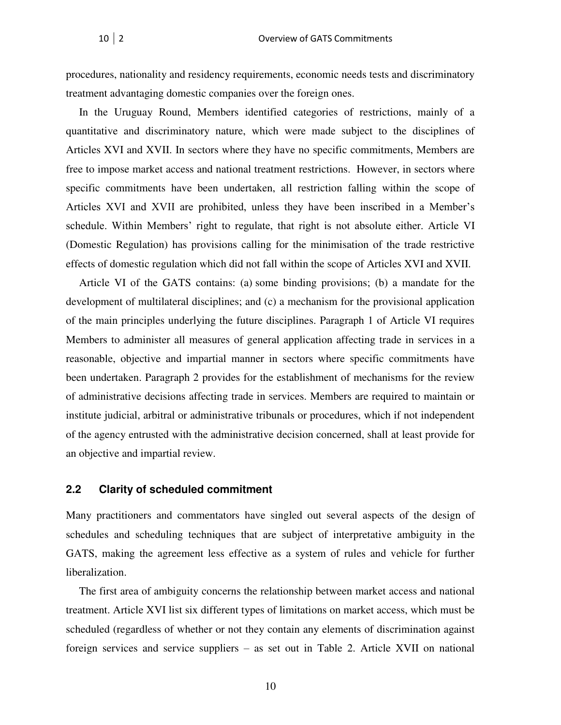procedures, nationality and residency requirements, economic needs tests and discriminatory treatment advantaging domestic companies over the foreign ones.

In the Uruguay Round, Members identified categories of restrictions, mainly of a quantitative and discriminatory nature, which were made subject to the disciplines of Articles XVI and XVII. In sectors where they have no specific commitments, Members are free to impose market access and national treatment restrictions. However, in sectors where specific commitments have been undertaken, all restriction falling within the scope of Articles XVI and XVII are prohibited, unless they have been inscribed in a Member's schedule. Within Members' right to regulate, that right is not absolute either. Article VI (Domestic Regulation) has provisions calling for the minimisation of the trade restrictive effects of domestic regulation which did not fall within the scope of Articles XVI and XVII.

Article VI of the GATS contains: (a) some binding provisions; (b) a mandate for the development of multilateral disciplines; and (c) a mechanism for the provisional application of the main principles underlying the future disciplines. Paragraph 1 of Article VI requires Members to administer all measures of general application affecting trade in services in a reasonable, objective and impartial manner in sectors where specific commitments have been undertaken. Paragraph 2 provides for the establishment of mechanisms for the review of administrative decisions affecting trade in services. Members are required to maintain or institute judicial, arbitral or administrative tribunals or procedures, which if not independent of the agency entrusted with the administrative decision concerned, shall at least provide for an objective and impartial review.

#### **2.2 Clarity of scheduled commitment**

Many practitioners and commentators have singled out several aspects of the design of schedules and scheduling techniques that are subject of interpretative ambiguity in the GATS, making the agreement less effective as a system of rules and vehicle for further liberalization.

The first area of ambiguity concerns the relationship between market access and national treatment. Article XVI list six different types of limitations on market access, which must be scheduled (regardless of whether or not they contain any elements of discrimination against foreign services and service suppliers – as set out in Table 2. Article XVII on national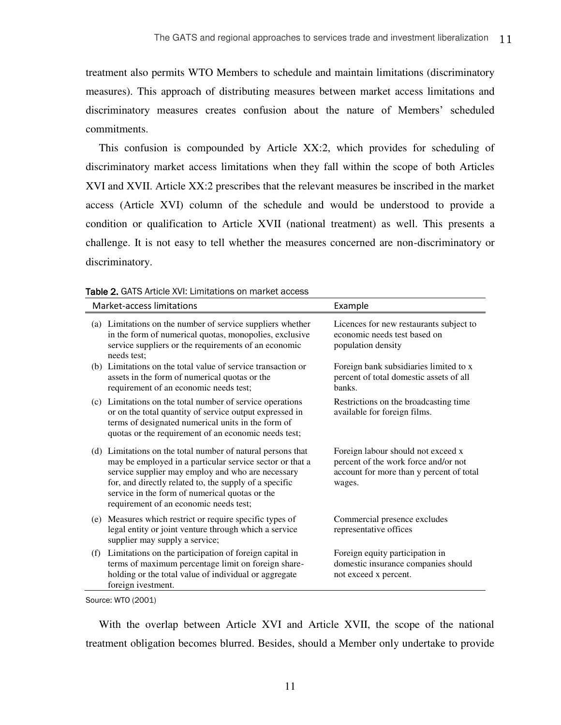treatment also permits WTO Members to schedule and maintain limitations (discriminatory measures). This approach of distributing measures between market access limitations and discriminatory measures creates confusion about the nature of Members' scheduled commitments.

This confusion is compounded by Article XX:2, which provides for scheduling of discriminatory market access limitations when they fall within the scope of both Articles XVI and XVII. Article XX:2 prescribes that the relevant measures be inscribed in the market access (Article XVI) column of the schedule and would be understood to provide a condition or qualification to Article XVII (national treatment) as well. This presents a challenge. It is not easy to tell whether the measures concerned are non-discriminatory or discriminatory.

| Market-access limitations                                                                                                                                                                                                                                                                                                          | Example                                                                                                                          |  |  |
|------------------------------------------------------------------------------------------------------------------------------------------------------------------------------------------------------------------------------------------------------------------------------------------------------------------------------------|----------------------------------------------------------------------------------------------------------------------------------|--|--|
| (a) Limitations on the number of service suppliers whether<br>in the form of numerical quotas, monopolies, exclusive<br>service suppliers or the requirements of an economic<br>needs test:                                                                                                                                        | Licences for new restaurants subject to<br>economic needs test based on<br>population density                                    |  |  |
| (b) Limitations on the total value of service transaction or<br>assets in the form of numerical quotas or the<br>requirement of an economic needs test;                                                                                                                                                                            | Foreign bank subsidiaries limited to x<br>percent of total domestic assets of all<br>banks.                                      |  |  |
| (c) Limitations on the total number of service operations<br>or on the total quantity of service output expressed in<br>terms of designated numerical units in the form of<br>quotas or the requirement of an economic needs test;                                                                                                 | Restrictions on the broadcasting time<br>available for foreign films.                                                            |  |  |
| (d) Limitations on the total number of natural persons that<br>may be employed in a particular service sector or that a<br>service supplier may employ and who are necessary<br>for, and directly related to, the supply of a specific<br>service in the form of numerical quotas or the<br>requirement of an economic needs test; | Foreign labour should not exceed x<br>percent of the work force and/or not<br>account for more than y percent of total<br>wages. |  |  |
| Measures which restrict or require specific types of<br>(e)<br>legal entity or joint venture through which a service<br>supplier may supply a service;                                                                                                                                                                             | Commercial presence excludes<br>representative offices                                                                           |  |  |
| Limitations on the participation of foreign capital in<br>(f)<br>terms of maximum percentage limit on foreign share-<br>holding or the total value of individual or aggregate<br>foreign ivestment.                                                                                                                                | Foreign equity participation in<br>domestic insurance companies should<br>not exceed x percent.                                  |  |  |

<span id="page-15-0"></span>Table 2. GATS Article XVI: Limitations on market access

Source: WTO (2001)

With the overlap between Article XVI and Article XVII, the scope of the national treatment obligation becomes blurred. Besides, should a Member only undertake to provide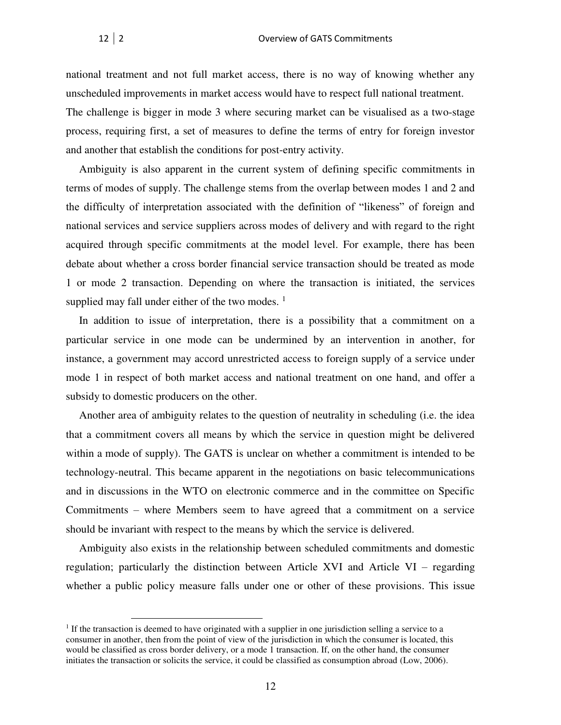national treatment and not full market access, there is no way of knowing whether any unscheduled improvements in market access would have to respect full national treatment. The challenge is bigger in mode 3 where securing market can be visualised as a two-stage process, requiring first, a set of measures to define the terms of entry for foreign investor and another that establish the conditions for post-entry activity.

Ambiguity is also apparent in the current system of defining specific commitments in terms of modes of supply. The challenge stems from the overlap between modes 1 and 2 and the difficulty of interpretation associated with the definition of "likeness" of foreign and national services and service suppliers across modes of delivery and with regard to the right acquired through specific commitments at the model level. For example, there has been debate about whether a cross border financial service transaction should be treated as mode 1 or mode 2 transaction. Depending on where the transaction is initiated, the services supplied may fall under either of the two modes.  $<sup>1</sup>$ </sup>

In addition to issue of interpretation, there is a possibility that a commitment on a particular service in one mode can be undermined by an intervention in another, for instance, a government may accord unrestricted access to foreign supply of a service under mode 1 in respect of both market access and national treatment on one hand, and offer a subsidy to domestic producers on the other.

Another area of ambiguity relates to the question of neutrality in scheduling (i.e. the idea that a commitment covers all means by which the service in question might be delivered within a mode of supply). The GATS is unclear on whether a commitment is intended to be technology-neutral. This became apparent in the negotiations on basic telecommunications and in discussions in the WTO on electronic commerce and in the committee on Specific Commitments – where Members seem to have agreed that a commitment on a service should be invariant with respect to the means by which the service is delivered.

Ambiguity also exists in the relationship between scheduled commitments and domestic regulation; particularly the distinction between Article XVI and Article VI – regarding whether a public policy measure falls under one or other of these provisions. This issue

 $\overline{a}$ 

<sup>&</sup>lt;sup>1</sup> If the transaction is deemed to have originated with a supplier in one jurisdiction selling a service to a consumer in another, then from the point of view of the jurisdiction in which the consumer is located, this would be classified as cross border delivery, or a mode 1 transaction. If, on the other hand, the consumer initiates the transaction or solicits the service, it could be classified as consumption abroad (Low, 2006).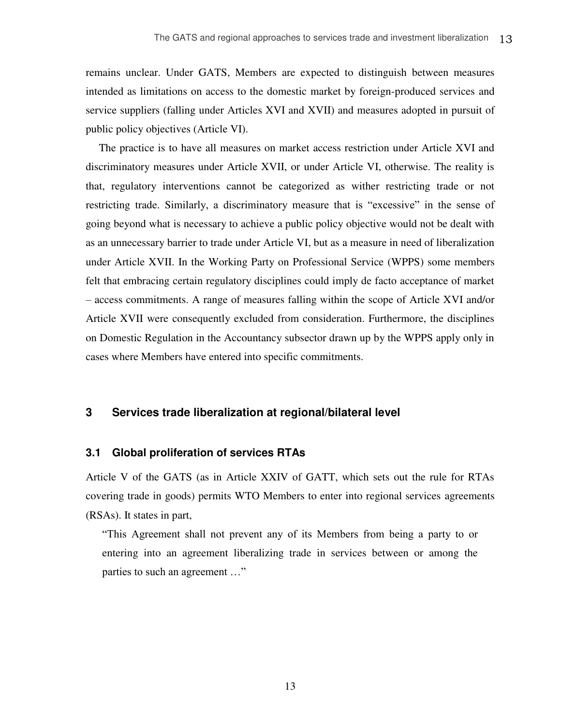remains unclear. Under GATS, Members are expected to distinguish between measures intended as limitations on access to the domestic market by foreign-produced services and service suppliers (falling under Articles XVI and XVII) and measures adopted in pursuit of public policy objectives (Article VI).

The practice is to have all measures on market access restriction under Article XVI and discriminatory measures under Article XVII, or under Article VI, otherwise. The reality is that, regulatory interventions cannot be categorized as wither restricting trade or not restricting trade. Similarly, a discriminatory measure that is "excessive" in the sense of going beyond what is necessary to achieve a public policy objective would not be dealt with as an unnecessary barrier to trade under Article VI, but as a measure in need of liberalization under Article XVII. In the Working Party on Professional Service (WPPS) some members felt that embracing certain regulatory disciplines could imply de facto acceptance of market – access commitments. A range of measures falling within the scope of Article XVI and/or Article XVII were consequently excluded from consideration. Furthermore, the disciplines on Domestic Regulation in the Accountancy subsector drawn up by the WPPS apply only in cases where Members have entered into specific commitments.

#### <span id="page-17-0"></span>**3 Services trade liberalization at regional/bilateral level**

#### <span id="page-17-1"></span>**3.1 Global proliferation of services RTAs**

Article V of the GATS (as in Article XXIV of GATT, which sets out the rule for RTAs covering trade in goods) permits WTO Members to enter into regional services agreements (RSAs). It states in part,

"This Agreement shall not prevent any of its Members from being a party to or entering into an agreement liberalizing trade in services between or among the parties to such an agreement …"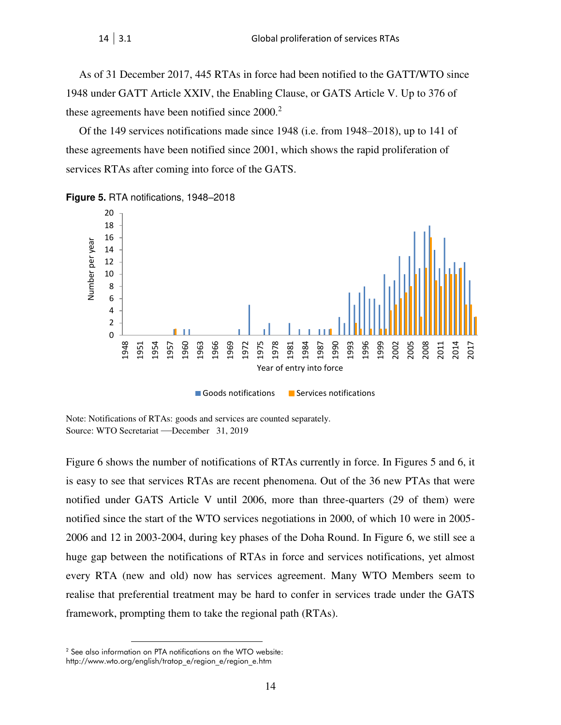As of 31 December 2017, 445 RTAs in force had been notified to the GATT/WTO since 1948 under GATT Article XXIV, the Enabling Clause, or GATS Article V. Up to 376 of these agreements have been notified since  $2000<sup>2</sup>$ 

Of the 149 services notifications made since 1948 (i.e. from 1948–2018), up to 141 of these agreements have been notified since 2001, which shows the rapid proliferation of services RTAs after coming into force of the GATS.

<span id="page-18-0"></span>**Figure 5.** RTA notifications, 1948–2018



Note: Notifications of RTAs: goods and services are counted separately. Source: WTO Secretariat —December 31, 2019

Figure 6 shows the number of notifications of RTAs currently in force. In Figures 5 and 6, it is easy to see that services RTAs are recent phenomena. Out of the 36 new PTAs that were notified under GATS Article V until 2006, more than three-quarters (29 of them) were notified since the start of the WTO services negotiations in 2000, of which 10 were in 2005- 2006 and 12 in 2003-2004, during key phases of the Doha Round. In Figure 6, we still see a huge gap between the notifications of RTAs in force and services notifications, yet almost every RTA (new and old) now has services agreement. Many WTO Members seem to realise that preferential treatment may be hard to confer in services trade under the GATS framework, prompting them to take the regional path (RTAs).

 $\overline{a}$ 

See also information on PTA notifications on the WTO website:

http://www.wto.org/english/tratop\_e/region\_e/region\_e.htm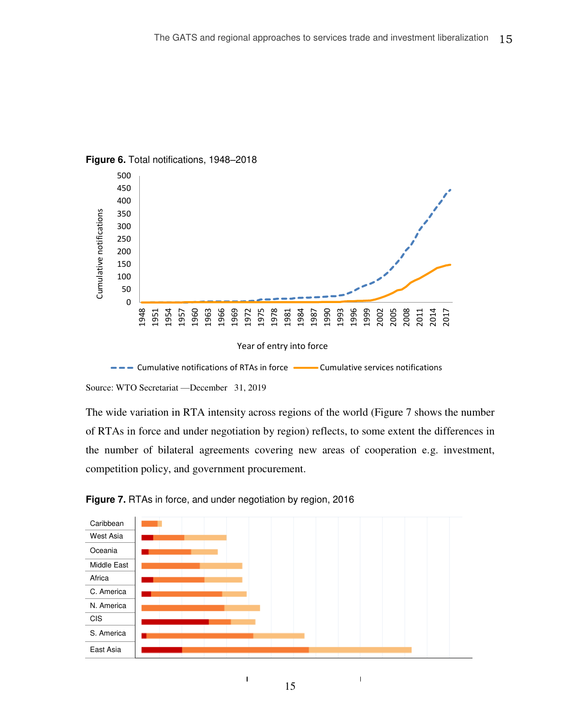

#### <span id="page-19-0"></span>**Figure 6.** Total notifications, 1948–2018



Source: WTO Secretariat —December 31, 2019

The wide variation in RTA intensity across regions of the world (Figure 7 shows the number of RTAs in force and under negotiation by region) reflects, to some extent the differences in the number of bilateral agreements covering new areas of cooperation e.g. investment, competition policy, and government procurement.

<span id="page-19-1"></span>



 $\overline{1}$ 

Ï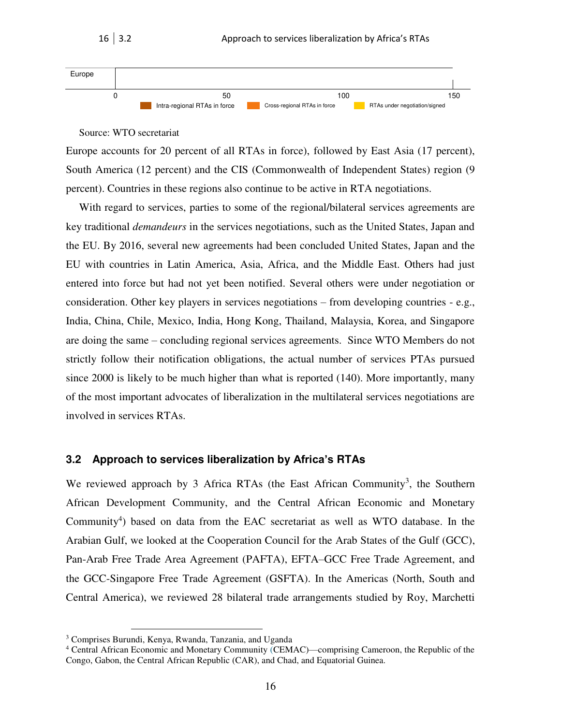

16 3.2 Approach to services liberalization by Africa's RTAs

#### Source: WTO secretariat

Europe accounts for 20 percent of all RTAs in force), followed by East Asia (17 percent), South America (12 percent) and the CIS (Commonwealth of Independent States) region (9 percent). Countries in these regions also continue to be active in RTA negotiations.

With regard to services, parties to some of the regional/bilateral services agreements are key traditional *demandeurs* in the services negotiations, such as the United States, Japan and the EU. By 2016, several new agreements had been concluded United States, Japan and the EU with countries in Latin America, Asia, Africa, and the Middle East. Others had just entered into force but had not yet been notified. Several others were under negotiation or consideration. Other key players in services negotiations – from developing countries - e.g., India, China, Chile, Mexico, India, Hong Kong, Thailand, Malaysia, Korea, and Singapore are doing the same – concluding regional services agreements. Since WTO Members do not strictly follow their notification obligations, the actual number of services PTAs pursued since 2000 is likely to be much higher than what is reported (140). More importantly, many of the most important advocates of liberalization in the multilateral services negotiations are involved in services RTAs.

#### <span id="page-20-0"></span>**3.2 Approach to services liberalization by Africa's RTAs**

We reviewed approach by 3 Africa RTAs (the East African Community<sup>3</sup>, the Southern African Development Community, and the Central African Economic and Monetary Community<sup>4</sup>) based on data from the EAC secretariat as well as WTO database. In the Arabian Gulf, we looked at the Cooperation Council for the Arab States of the Gulf (GCC), Pan-Arab Free Trade Area Agreement (PAFTA), EFTA–GCC Free Trade Agreement, and the GCC-Singapore Free Trade Agreement (GSFTA). In the Americas (North, South and Central America), we reviewed 28 bilateral trade arrangements studied by Roy, Marchetti

 $\overline{a}$ 

<sup>&</sup>lt;sup>3</sup> Comprises Burundi, Kenya, Rwanda, Tanzania, and Uganda

<sup>&</sup>lt;sup>4</sup> Central African Economic and Monetary Community (CEMAC)—comprising Cameroon, the Republic of the Congo, Gabon, the Central African Republic (CAR), and Chad, and Equatorial Guinea.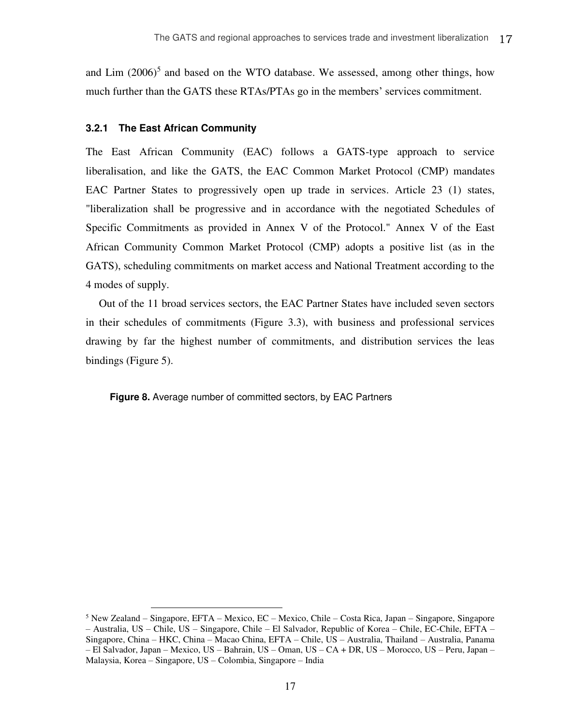and Lim  $(2006)^5$  and based on the WTO database. We assessed, among other things, how much further than the GATS these RTAs/PTAs go in the members' services commitment.

#### **3.2.1 The East African Community**

 $\overline{a}$ 

The East African Community (EAC) follows a GATS-type approach to service liberalisation, and like the GATS, the EAC Common Market Protocol (CMP) mandates EAC Partner States to progressively open up trade in services. Article 23 (1) states, "liberalization shall be progressive and in accordance with the negotiated Schedules of Specific Commitments as provided in Annex V of the Protocol." Annex V of the East African Community Common Market Protocol (CMP) adopts a positive list (as in the GATS), scheduling commitments on market access and National Treatment according to the 4 modes of supply.

Out of the 11 broad services sectors, the EAC Partner States have included seven sectors in their schedules of commitments (Figure 3.3), with business and professional services drawing by far the highest number of commitments, and distribution services the leas bindings (Figure 5).

<span id="page-21-0"></span>**Figure 8.** Average number of committed sectors, by EAC Partners

<sup>5</sup> New Zealand – Singapore, EFTA – Mexico, EC – Mexico, Chile – Costa Rica, Japan – Singapore, Singapore – Australia, US – Chile, US – Singapore, Chile – El Salvador, Republic of Korea – Chile, EC-Chile, EFTA – Singapore, China – HKC, China – Macao China, EFTA – Chile, US – Australia, Thailand – Australia, Panama – El Salvador, Japan – Mexico, US – Bahrain, US – Oman, US – CA + DR, US – Morocco, US – Peru, Japan – Malaysia, Korea – Singapore, US – Colombia, Singapore – India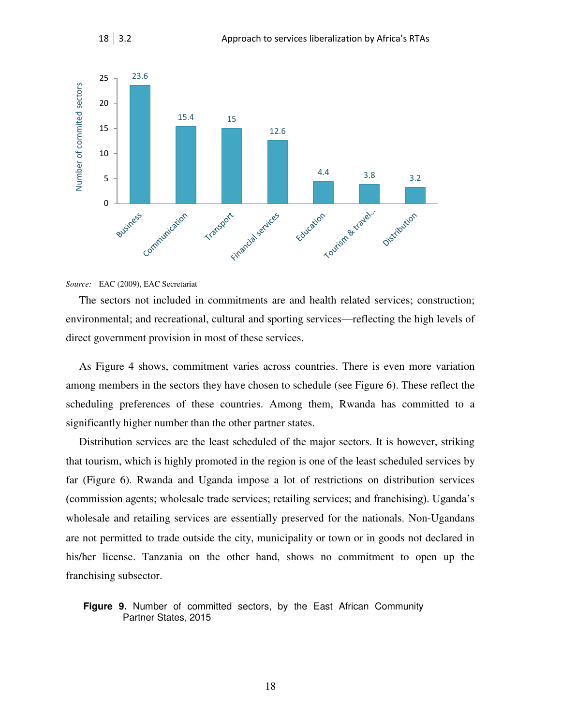

#### *Source:* EAC (2009), EAC Secretariat

The sectors not included in commitments are and health related services; construction; environmental; and recreational, cultural and sporting services—reflecting the high levels of direct government provision in most of these services.

As Figure 4 shows, commitment varies across countries. There is even more variation among members in the sectors they have chosen to schedule (see Figure 6). These reflect the scheduling preferences of these countries. Among them, Rwanda has committed to a significantly higher number than the other partner states.

Distribution services are the least scheduled of the major sectors. It is however, striking that tourism, which is highly promoted in the region is one of the least scheduled services by far (Figure 6). Rwanda and Uganda impose a lot of restrictions on distribution services (commission agents; wholesale trade services; retailing services; and franchising). Uganda's wholesale and retailing services are essentially preserved for the nationals. Non-Ugandans are not permitted to trade outside the city, municipality or town or in goods not declared in his/her license. Tanzania on the other hand, shows no commitment to open up the franchising subsector.

#### <span id="page-22-0"></span>**Figure 9.** Number of committed sectors, by the East African Community Partner States, 2015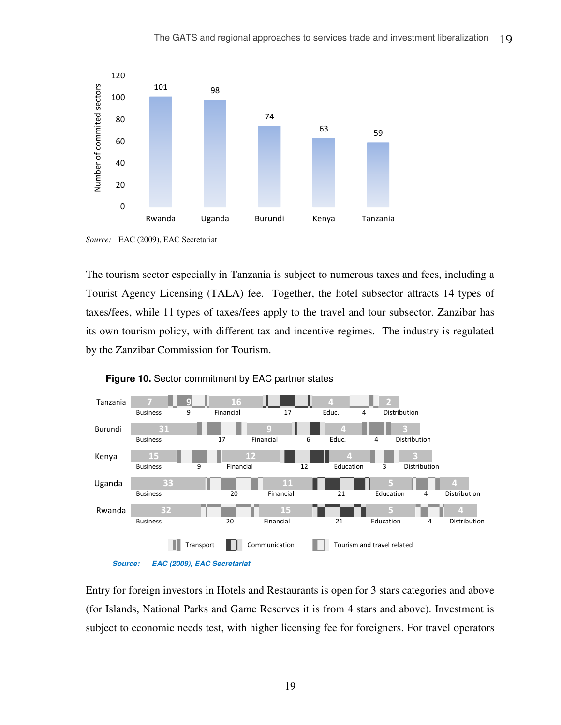

*Source:* EAC (2009), EAC Secretariat

The tourism sector especially in Tanzania is subject to numerous taxes and fees, including a Tourist Agency Licensing (TALA) fee. Together, the hotel subsector attracts 14 types of taxes/fees, while 11 types of taxes/fees apply to the travel and tour subsector. Zanzibar has its own tourism policy, with different tax and incentive regimes. The industry is regulated by the Zanzibar Commission for Tourism.



<span id="page-23-0"></span>

Entry for foreign investors in Hotels and Restaurants is open for 3 stars categories and above (for Islands, National Parks and Game Reserves it is from 4 stars and above). Investment is subject to economic needs test, with higher licensing fee for foreigners. For travel operators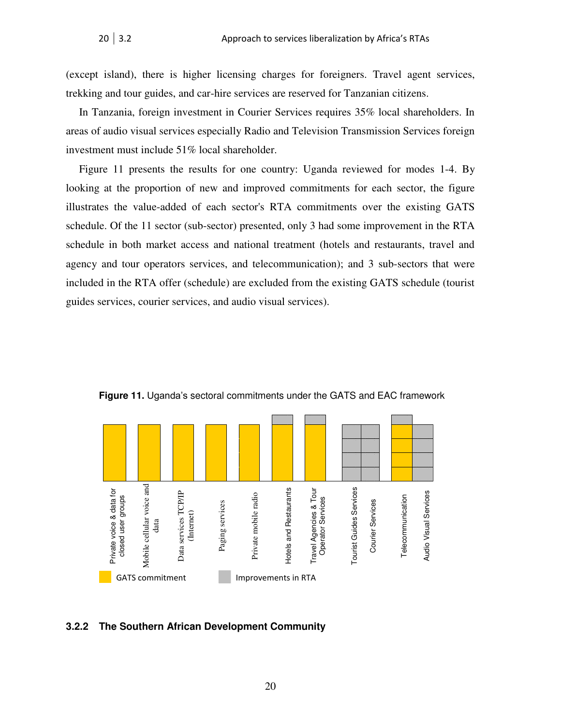(except island), there is higher licensing charges for foreigners. Travel agent services, trekking and tour guides, and car-hire services are reserved for Tanzanian citizens.

In Tanzania, foreign investment in Courier Services requires 35% local shareholders. In areas of audio visual services especially Radio and Television Transmission Services foreign investment must include 51% local shareholder.

Figure 11 presents the results for one country: Uganda reviewed for modes 1-4. By looking at the proportion of new and improved commitments for each sector, the figure illustrates the value-added of each sector's RTA commitments over the existing GATS schedule. Of the 11 sector (sub-sector) presented, only 3 had some improvement in the RTA schedule in both market access and national treatment (hotels and restaurants, travel and agency and tour operators services, and telecommunication); and 3 sub-sectors that were included in the RTA offer (schedule) are excluded from the existing GATS schedule (tourist guides services, courier services, and audio visual services).

<span id="page-24-0"></span>

**Figure 11.** Uganda's sectoral commitments under the GATS and EAC framework

#### **3.2.2 The Southern African Development Community**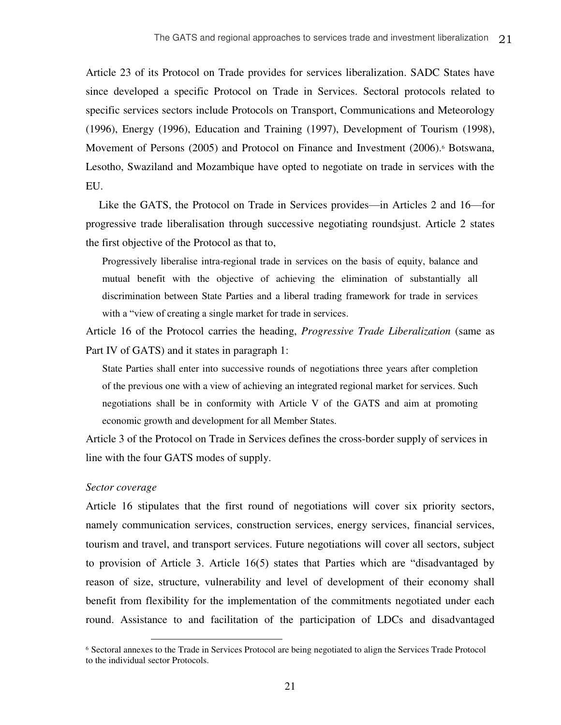Article 23 of its Protocol on Trade provides for services liberalization. SADC States have since developed a specific Protocol on Trade in Services. Sectoral protocols related to specific services sectors include Protocols on Transport, Communications and Meteorology (1996), Energy (1996), Education and Training (1997), Development of Tourism (1998), Movement of Persons (2005) and Protocol on Finance and Investment (2006).<sup>6</sup> Botswana, Lesotho, Swaziland and Mozambique have opted to negotiate on trade in services with the EU.

Like the GATS, the Protocol on Trade in Services provides—in Articles 2 and 16—for progressive trade liberalisation through successive negotiating roundsjust. Article 2 states the first objective of the Protocol as that to,

Progressively liberalise intra-regional trade in services on the basis of equity, balance and mutual benefit with the objective of achieving the elimination of substantially all discrimination between State Parties and a liberal trading framework for trade in services with a "view of creating a single market for trade in services.

Article 16 of the Protocol carries the heading, *Progressive Trade Liberalization* (same as Part IV of GATS) and it states in paragraph 1:

State Parties shall enter into successive rounds of negotiations three years after completion of the previous one with a view of achieving an integrated regional market for services. Such negotiations shall be in conformity with Article V of the GATS and aim at promoting economic growth and development for all Member States.

Article 3 of the Protocol on Trade in Services defines the cross-border supply of services in line with the four GATS modes of supply.

#### *Sector coverage*

 $\overline{a}$ 

Article 16 stipulates that the first round of negotiations will cover six priority sectors, namely communication services, construction services, energy services, financial services, tourism and travel, and transport services. Future negotiations will cover all sectors, subject to provision of Article 3. Article 16(5) states that Parties which are "disadvantaged by reason of size, structure, vulnerability and level of development of their economy shall benefit from flexibility for the implementation of the commitments negotiated under each round. Assistance to and facilitation of the participation of LDCs and disadvantaged

<sup>6</sup> Sectoral annexes to the Trade in Services Protocol are being negotiated to align the Services Trade Protocol to the individual sector Protocols.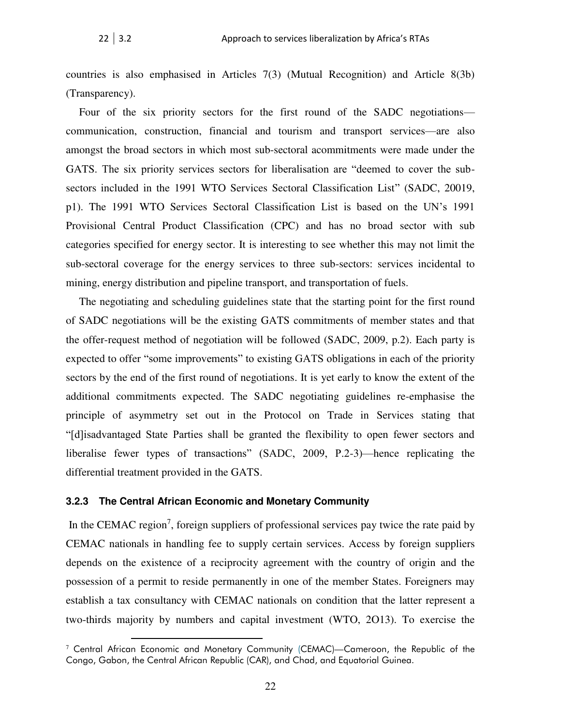countries is also emphasised in Articles 7(3) (Mutual Recognition) and Article 8(3b) (Transparency).

Four of the six priority sectors for the first round of the SADC negotiations communication, construction, financial and tourism and transport services—are also amongst the broad sectors in which most sub-sectoral acommitments were made under the GATS. The six priority services sectors for liberalisation are "deemed to cover the subsectors included in the 1991 WTO Services Sectoral Classification List" (SADC, 20019, p1). The 1991 WTO Services Sectoral Classification List is based on the UN's 1991 Provisional Central Product Classification (CPC) and has no broad sector with sub categories specified for energy sector. It is interesting to see whether this may not limit the sub-sectoral coverage for the energy services to three sub-sectors: services incidental to mining, energy distribution and pipeline transport, and transportation of fuels.

The negotiating and scheduling guidelines state that the starting point for the first round of SADC negotiations will be the existing GATS commitments of member states and that the offer-request method of negotiation will be followed (SADC, 2009, p.2). Each party is expected to offer "some improvements" to existing GATS obligations in each of the priority sectors by the end of the first round of negotiations. It is yet early to know the extent of the additional commitments expected. The SADC negotiating guidelines re-emphasise the principle of asymmetry set out in the Protocol on Trade in Services stating that "[d]isadvantaged State Parties shall be granted the flexibility to open fewer sectors and liberalise fewer types of transactions" (SADC, 2009, P.2-3)—hence replicating the differential treatment provided in the GATS.

#### **3.2.3 The Central African Economic and Monetary Community**

 $\overline{a}$ 

In the CEMAC region<sup>7</sup>, foreign suppliers of professional services pay twice the rate paid by CEMAC nationals in handling fee to supply certain services. Access by foreign suppliers depends on the existence of a reciprocity agreement with the country of origin and the possession of a permit to reside permanently in one of the member States. Foreigners may establish a tax consultancy with CEMAC nationals on condition that the latter represent a two-thirds majority by numbers and capital investment (WTO, 2O13). To exercise the

 $7$  Central African Economic and Monetary Community (CEMAC)—Cameroon, the Republic of the Congo, Gabon, the Central African Republic (CAR), and Chad, and Equatorial Guinea.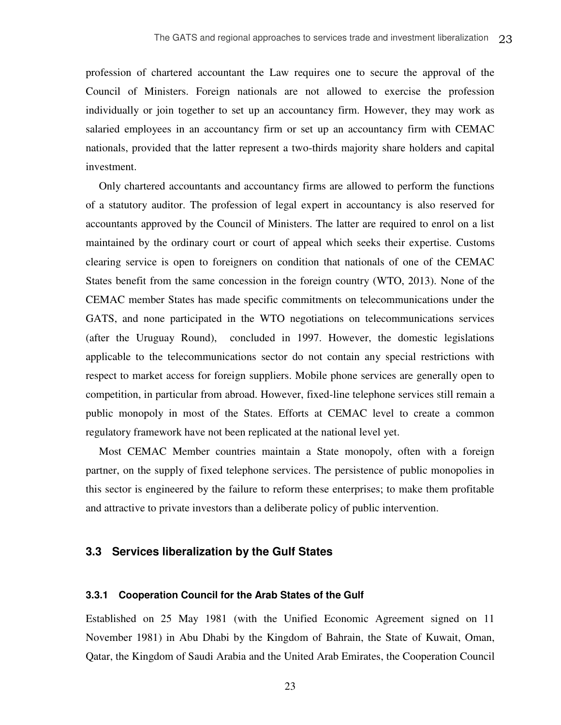profession of chartered accountant the Law requires one to secure the approval of the Council of Ministers. Foreign nationals are not allowed to exercise the profession individually or join together to set up an accountancy firm. However, they may work as salaried employees in an accountancy firm or set up an accountancy firm with CEMAC nationals, provided that the latter represent a two-thirds majority share holders and capital investment.

Only chartered accountants and accountancy firms are allowed to perform the functions of a statutory auditor. The profession of legal expert in accountancy is also reserved for accountants approved by the Council of Ministers. The latter are required to enrol on a list maintained by the ordinary court or court of appeal which seeks their expertise. Customs clearing service is open to foreigners on condition that nationals of one of the CEMAC States benefit from the same concession in the foreign country (WTO, 2013). None of the CEMAC member States has made specific commitments on telecommunications under the GATS, and none participated in the WTO negotiations on telecommunications services (after the Uruguay Round), concluded in 1997. However, the domestic legislations applicable to the telecommunications sector do not contain any special restrictions with respect to market access for foreign suppliers. Mobile phone services are generally open to competition, in particular from abroad. However, fixed-line telephone services still remain a public monopoly in most of the States. Efforts at CEMAC level to create a common regulatory framework have not been replicated at the national level yet.

Most CEMAC Member countries maintain a State monopoly, often with a foreign partner, on the supply of fixed telephone services. The persistence of public monopolies in this sector is engineered by the failure to reform these enterprises; to make them profitable and attractive to private investors than a deliberate policy of public intervention.

#### <span id="page-27-0"></span>**3.3 Services liberalization by the Gulf States**

#### **3.3.1 Cooperation Council for the Arab States of the Gulf**

Established on 25 May 1981 (with the Unified Economic Agreement signed on 11 November 1981) in Abu Dhabi by the Kingdom of Bahrain, the State of Kuwait, Oman, Qatar, the Kingdom of Saudi Arabia and the United Arab Emirates, the Cooperation Council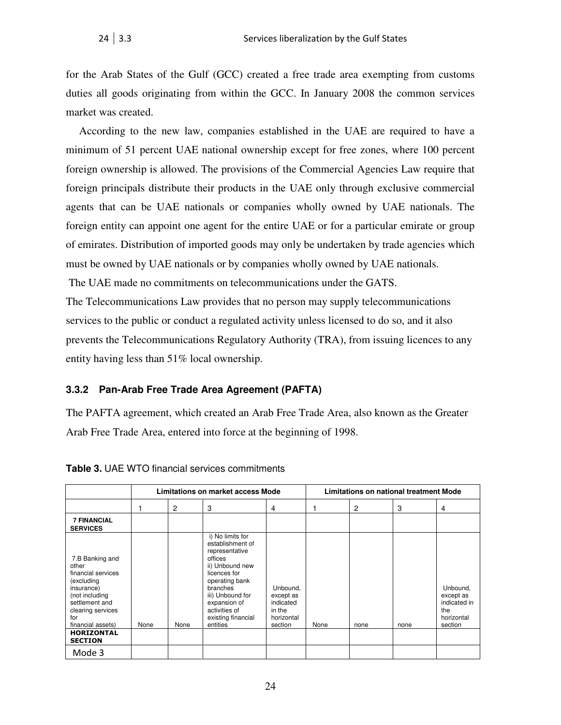for the Arab States of the Gulf (GCC) created a free trade area exempting from customs duties all goods originating from within the GCC. In January 2008 the common services market was created.

According to the new law, companies established in the UAE are required to have a minimum of 51 percent UAE national ownership except for free zones, where 100 percent foreign ownership is allowed. The provisions of the Commercial Agencies Law require that foreign principals distribute their products in the UAE only through exclusive commercial agents that can be UAE nationals or companies wholly owned by UAE nationals. The foreign entity can appoint one agent for the entire UAE or for a particular emirate or group of emirates. Distribution of imported goods may only be undertaken by trade agencies which must be owned by UAE nationals or by companies wholly owned by UAE nationals.

The UAE made no commitments on telecommunications under the GATS.

The Telecommunications Law provides that no person may supply telecommunications services to the public or conduct a regulated activity unless licensed to do so, and it also prevents the Telecommunications Regulatory Authority (TRA), from issuing licences to any entity having less than 51% local ownership.

#### **3.3.2 Pan-Arab Free Trade Area Agreement (PAFTA)**

The PAFTA agreement, which created an Arab Free Trade Area, also known as the Greater Arab Free Trade Area, entered into force at the beginning of 1998.

|                                                                                                                                                                                                        |      |                | Limitations on market access Mode                                                                                                                                                                                         |                                                                       | Limitations on national treatment Mode |      |      |                                                                       |
|--------------------------------------------------------------------------------------------------------------------------------------------------------------------------------------------------------|------|----------------|---------------------------------------------------------------------------------------------------------------------------------------------------------------------------------------------------------------------------|-----------------------------------------------------------------------|----------------------------------------|------|------|-----------------------------------------------------------------------|
|                                                                                                                                                                                                        |      | $\overline{2}$ | 3                                                                                                                                                                                                                         | 4                                                                     |                                        | 2    | 3    | 4                                                                     |
| <b>7 FINANCIAL</b><br><b>SERVICES</b>                                                                                                                                                                  |      |                |                                                                                                                                                                                                                           |                                                                       |                                        |      |      |                                                                       |
| 7.B Banking and<br>other<br>financial services<br>(excluding<br>insurance)<br>(not including<br>settlement and<br>clearing services<br>for<br>financial assets)<br><b>HORIZONTAL</b><br><b>SECTION</b> | None | None           | i) No limits for<br>establishment of<br>representative<br>offices<br>ii) Unbound new<br>licences for<br>operating bank<br>branches<br>iii) Unbound for<br>expansion of<br>activities of<br>existing financial<br>entities | Unbound,<br>except as<br>indicated<br>in the<br>horizontal<br>section | None                                   | none | none | Unbound,<br>except as<br>indicated in<br>the<br>horizontal<br>section |
| Mode 3                                                                                                                                                                                                 |      |                |                                                                                                                                                                                                                           |                                                                       |                                        |      |      |                                                                       |

<span id="page-28-0"></span>

| <b>Table 3. UAE WTO financial services commitments</b> |  |  |
|--------------------------------------------------------|--|--|
|--------------------------------------------------------|--|--|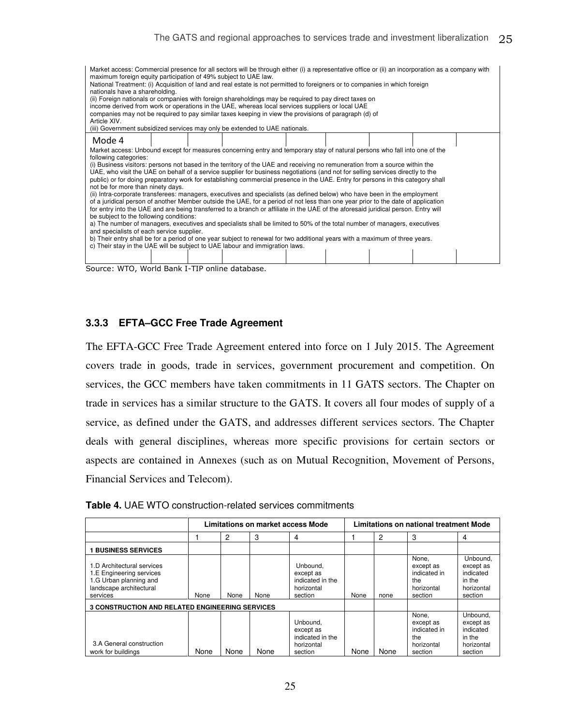| Market access: Commercial presence for all sectors will be through either (i) a representative office or (ii) an incorporation as a company with<br>maximum foreign equity participation of 49% subject to UAE law.<br>National Treatment: (i) Acquisition of land and real estate is not permitted to foreigners or to companies in which foreign<br>nationals have a shareholding.<br>(ii) Foreign nationals or companies with foreign shareholdings may be required to pay direct taxes on<br>income derived from work or operations in the UAE, whereas local services suppliers or local UAE<br>companies may not be required to pay similar taxes keeping in view the provisions of paragraph (d) of<br>Article XIV.<br>(iii) Government subsidized services may only be extended to UAE nationals.                                                                                                                                                                                                                                                                                                                                                                                                                                                                                                                                                                                                                               |  |  |  |  |  |  |  |  |
|-----------------------------------------------------------------------------------------------------------------------------------------------------------------------------------------------------------------------------------------------------------------------------------------------------------------------------------------------------------------------------------------------------------------------------------------------------------------------------------------------------------------------------------------------------------------------------------------------------------------------------------------------------------------------------------------------------------------------------------------------------------------------------------------------------------------------------------------------------------------------------------------------------------------------------------------------------------------------------------------------------------------------------------------------------------------------------------------------------------------------------------------------------------------------------------------------------------------------------------------------------------------------------------------------------------------------------------------------------------------------------------------------------------------------------------------|--|--|--|--|--|--|--|--|
| Mode 4                                                                                                                                                                                                                                                                                                                                                                                                                                                                                                                                                                                                                                                                                                                                                                                                                                                                                                                                                                                                                                                                                                                                                                                                                                                                                                                                                                                                                                  |  |  |  |  |  |  |  |  |
| Market access: Unbound except for measures concerning entry and temporary stay of natural persons who fall into one of the<br>following categories:<br>(i) Business visitors: persons not based in the territory of the UAE and receiving no remuneration from a source within the<br>UAE, who visit the UAE on behalf of a service supplier for business negotiations (and not for selling services directly to the<br>public) or for doing preparatory work for establishing commercial presence in the UAE. Entry for persons in this category shall<br>not be for more than ninety days.<br>(ii) Intra-corporate transferees: managers, executives and specialists (as defined below) who have been in the employment<br>of a juridical person of another Member outside the UAE, for a period of not less than one year prior to the date of application<br>for entry into the UAE and are being transferred to a branch or affiliate in the UAE of the aforesaid juridical person. Entry will<br>be subject to the following conditions:<br>a) The number of managers, executives and specialists shall be limited to 50% of the total number of managers, executives<br>and specialists of each service supplier.<br>b) Their entry shall be for a period of one year subject to renewal for two additional years with a maximum of three years.<br>c) Their stay in the UAE will be subject to UAE labour and immigration laws. |  |  |  |  |  |  |  |  |

Source: WTO, World Bank I-TIP online database.

#### **3.3.3 EFTA–GCC Free Trade Agreement**

The EFTA-GCC Free Trade Agreement entered into force on 1 July 2015. The Agreement covers trade in goods, trade in services, government procurement and competition. On services, the GCC members have taken commitments in 11 GATS sectors. The Chapter on trade in services has a similar structure to the GATS. It covers all four modes of supply of a service, as defined under the GATS, and addresses different services sectors. The Chapter deals with general disciplines, whereas more specific provisions for certain sectors or aspects are contained in Annexes (such as on Mutual Recognition, Movement of Persons, Financial Services and Telecom).

<span id="page-29-0"></span>

|  | Table 4. UAE WTO construction-related services commitments |  |  |
|--|------------------------------------------------------------|--|--|
|--|------------------------------------------------------------|--|--|

|                                                                                                                         |      | Limitations on market access Mode |      |                                                                    |      |      | Limitations on national treatment Mode                             |                                                                       |
|-------------------------------------------------------------------------------------------------------------------------|------|-----------------------------------|------|--------------------------------------------------------------------|------|------|--------------------------------------------------------------------|-----------------------------------------------------------------------|
|                                                                                                                         |      | 2                                 | 3    | 4                                                                  |      | 2    | 3                                                                  | 4                                                                     |
| <b>BUSINESS SERVICES</b>                                                                                                |      |                                   |      |                                                                    |      |      |                                                                    |                                                                       |
| 1.D Architectural services<br>1.E Engineering services<br>1.G Urban planning and<br>landscape architectural<br>services | None | None                              | None | Unbound.<br>except as<br>indicated in the<br>horizontal<br>section | None | none | None.<br>except as<br>indicated in<br>the<br>horizontal<br>section | Unbound.<br>except as<br>indicated<br>in the<br>horizontal<br>section |
| <b>3 CONSTRUCTION AND RELATED ENGINEERING SERVICES</b>                                                                  |      |                                   |      |                                                                    |      |      |                                                                    |                                                                       |
| 3.A General construction<br>work for buildings                                                                          | None | None                              | None | Unbound,<br>except as<br>indicated in the<br>horizontal<br>section | None | None | None.<br>except as<br>indicated in<br>the<br>horizontal<br>section | Unbound.<br>except as<br>indicated<br>in the<br>horizontal<br>section |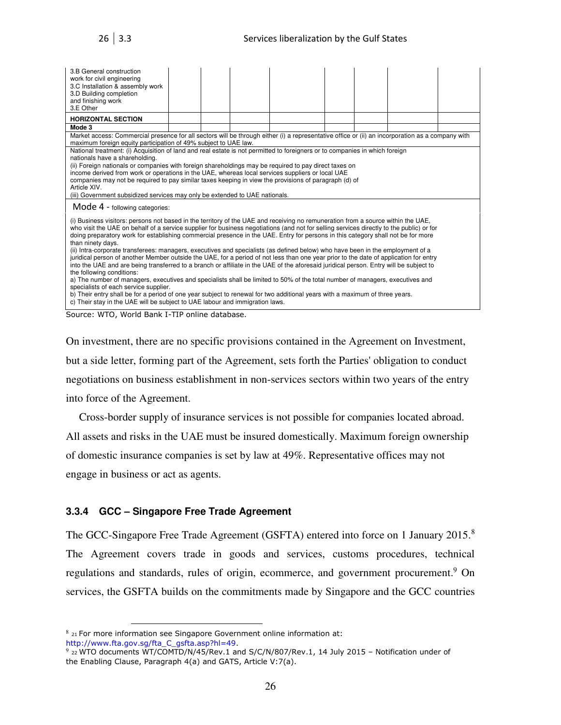| 3.B General construction<br>work for civil engineering<br>3.C Installation & assembly work<br>3.D Building completion<br>and finishing work<br>3.E Other                                                            |                                                |  |  |  |  |  |  |  |  |
|---------------------------------------------------------------------------------------------------------------------------------------------------------------------------------------------------------------------|------------------------------------------------|--|--|--|--|--|--|--|--|
| <b>HORIZONTAL SECTION</b>                                                                                                                                                                                           |                                                |  |  |  |  |  |  |  |  |
| Mode 3                                                                                                                                                                                                              |                                                |  |  |  |  |  |  |  |  |
| Market access: Commercial presence for all sectors will be through either (i) a representative office or (ii) an incorporation as a company with<br>maximum foreign equity participation of 49% subject to UAE law. |                                                |  |  |  |  |  |  |  |  |
| National treatment: (i) Acquisition of land and real estate is not permitted to foreigners or to companies in which foreign                                                                                         |                                                |  |  |  |  |  |  |  |  |
| nationals have a shareholding.                                                                                                                                                                                      |                                                |  |  |  |  |  |  |  |  |
| (ii) Foreign nationals or companies with foreign shareholdings may be required to pay direct taxes on<br>income derived from work or operations in the UAE, whereas local services suppliers or local UAE           |                                                |  |  |  |  |  |  |  |  |
| companies may not be required to pay similar taxes keeping in view the provisions of paragraph (d) of                                                                                                               |                                                |  |  |  |  |  |  |  |  |
| Article XIV.                                                                                                                                                                                                        |                                                |  |  |  |  |  |  |  |  |
| (iii) Government subsidized services may only be extended to UAE nationals.                                                                                                                                         |                                                |  |  |  |  |  |  |  |  |
| Mode 4 - following categories:                                                                                                                                                                                      |                                                |  |  |  |  |  |  |  |  |
| (i) Business visitors: persons not based in the territory of the UAE and receiving no remuneration from a source within the UAE,                                                                                    |                                                |  |  |  |  |  |  |  |  |
| who visit the UAE on behalf of a service supplier for business negotiations (and not for selling services directly to the public) or for                                                                            |                                                |  |  |  |  |  |  |  |  |
| doing preparatory work for establishing commercial presence in the UAE. Entry for persons in this category shall not be for more<br>than ninety days.                                                               |                                                |  |  |  |  |  |  |  |  |
| (ii) Intra-corporate transferees: managers, executives and specialists (as defined below) who have been in the employment of a                                                                                      |                                                |  |  |  |  |  |  |  |  |
| juridical person of another Member outside the UAE, for a period of not less than one year prior to the date of application for entry                                                                               |                                                |  |  |  |  |  |  |  |  |
| into the UAE and are being transferred to a branch or affiliate in the UAE of the aforesaid juridical person. Entry will be subject to                                                                              |                                                |  |  |  |  |  |  |  |  |
| the following conditions:                                                                                                                                                                                           |                                                |  |  |  |  |  |  |  |  |
| a) The number of managers, executives and specialists shall be limited to 50% of the total number of managers, executives and<br>specialists of each service supplier.                                              |                                                |  |  |  |  |  |  |  |  |
| b) Their entry shall be for a period of one year subject to renewal for two additional years with a maximum of three years.                                                                                         |                                                |  |  |  |  |  |  |  |  |
| c) Their stay in the UAE will be subject to UAE labour and immigration laws.                                                                                                                                        |                                                |  |  |  |  |  |  |  |  |
|                                                                                                                                                                                                                     | Source: WTO, World Bank I-TIP online database. |  |  |  |  |  |  |  |  |

On investment, there are no specific provisions contained in the Agreement on Investment, but a side letter, forming part of the Agreement, sets forth the Parties' obligation to conduct negotiations on business establishment in non-services sectors within two years of the entry into force of the Agreement.

Cross-border supply of insurance services is not possible for companies located abroad.

All assets and risks in the UAE must be insured domestically. Maximum foreign ownership of domestic insurance companies is set by law at 49%. Representative offices may not engage in business or act as agents.

#### **3.3.4 GCC – Singapore Free Trade Agreement**

The GCC-Singapore Free Trade Agreement (GSFTA) entered into force on 1 January 2015.<sup>8</sup> The Agreement covers trade in goods and services, customs procedures, technical regulations and standards, rules of origin, ecommerce, and government procurement.<sup>9</sup> On services, the GSFTA builds on the commitments made by Singapore and the GCC countries

 $\overline{a}$  $8_{21}$  For more information see Singapore Government online information at: http://www.fta.gov.sg/fta\_C\_gsfta.asp?hl=49.

 $9$  <sub>22</sub> WTO documents WT/COMTD/N/45/Rev.1 and S/C/N/807/Rev.1, 14 July 2015 - Notification under of the Enabling Clause, Paragraph 4(a) and GATS, Article V:7(a).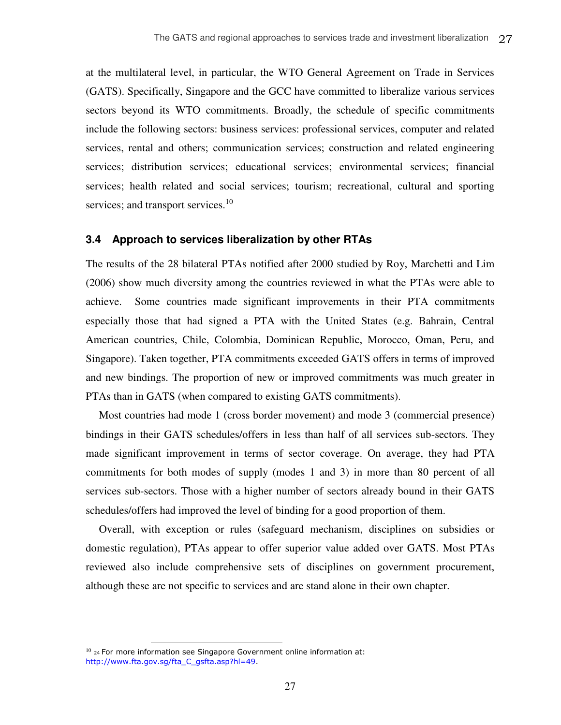at the multilateral level, in particular, the WTO General Agreement on Trade in Services (GATS). Specifically, Singapore and the GCC have committed to liberalize various services sectors beyond its WTO commitments. Broadly, the schedule of specific commitments include the following sectors: business services: professional services, computer and related services, rental and others; communication services; construction and related engineering services; distribution services; educational services; environmental services; financial services; health related and social services; tourism; recreational, cultural and sporting services; and transport services.<sup>10</sup>

#### <span id="page-31-0"></span>**3.4 Approach to services liberalization by other RTAs**

The results of the 28 bilateral PTAs notified after 2000 studied by Roy, Marchetti and Lim (2006) show much diversity among the countries reviewed in what the PTAs were able to achieve. Some countries made significant improvements in their PTA commitments especially those that had signed a PTA with the United States (e.g. Bahrain, Central American countries, Chile, Colombia, Dominican Republic, Morocco, Oman, Peru, and Singapore). Taken together, PTA commitments exceeded GATS offers in terms of improved and new bindings. The proportion of new or improved commitments was much greater in PTAs than in GATS (when compared to existing GATS commitments).

Most countries had mode 1 (cross border movement) and mode 3 (commercial presence) bindings in their GATS schedules/offers in less than half of all services sub-sectors. They made significant improvement in terms of sector coverage. On average, they had PTA commitments for both modes of supply (modes 1 and 3) in more than 80 percent of all services sub-sectors. Those with a higher number of sectors already bound in their GATS schedules/offers had improved the level of binding for a good proportion of them.

Overall, with exception or rules (safeguard mechanism, disciplines on subsidies or domestic regulation), PTAs appear to offer superior value added over GATS. Most PTAs reviewed also include comprehensive sets of disciplines on government procurement, although these are not specific to services and are stand alone in their own chapter.

 $\overline{a}$ 

 $10$  <sub>24</sub> For more information see Singapore Government online information at: http://www.fta.gov.sg/fta\_C\_gsfta.asp?hl=49.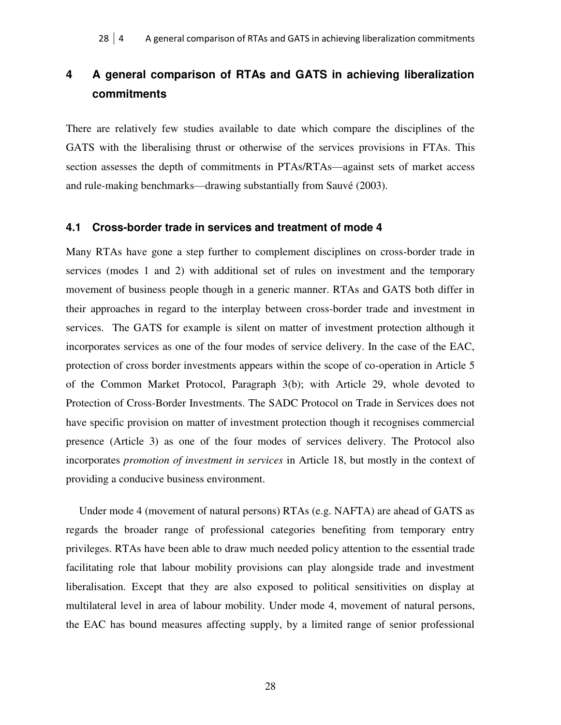## <span id="page-32-0"></span>**4 A general comparison of RTAs and GATS in achieving liberalization commitments**

There are relatively few studies available to date which compare the disciplines of the GATS with the liberalising thrust or otherwise of the services provisions in FTAs. This section assesses the depth of commitments in PTAs/RTAs—against sets of market access and rule-making benchmarks—drawing substantially from Sauvé (2003).

#### <span id="page-32-1"></span>**4.1 Cross-border trade in services and treatment of mode 4**

Many RTAs have gone a step further to complement disciplines on cross-border trade in services (modes 1 and 2) with additional set of rules on investment and the temporary movement of business people though in a generic manner. RTAs and GATS both differ in their approaches in regard to the interplay between cross-border trade and investment in services. The GATS for example is silent on matter of investment protection although it incorporates services as one of the four modes of service delivery. In the case of the EAC, protection of cross border investments appears within the scope of co-operation in Article 5 of the Common Market Protocol, Paragraph 3(b); with Article 29, whole devoted to Protection of Cross-Border Investments. The SADC Protocol on Trade in Services does not have specific provision on matter of investment protection though it recognises commercial presence (Article 3) as one of the four modes of services delivery. The Protocol also incorporates *promotion of investment in services* in Article 18, but mostly in the context of providing a conducive business environment.

Under mode 4 (movement of natural persons) RTAs (e.g. NAFTA) are ahead of GATS as regards the broader range of professional categories benefiting from temporary entry privileges. RTAs have been able to draw much needed policy attention to the essential trade facilitating role that labour mobility provisions can play alongside trade and investment liberalisation. Except that they are also exposed to political sensitivities on display at multilateral level in area of labour mobility. Under mode 4, movement of natural persons, the EAC has bound measures affecting supply, by a limited range of senior professional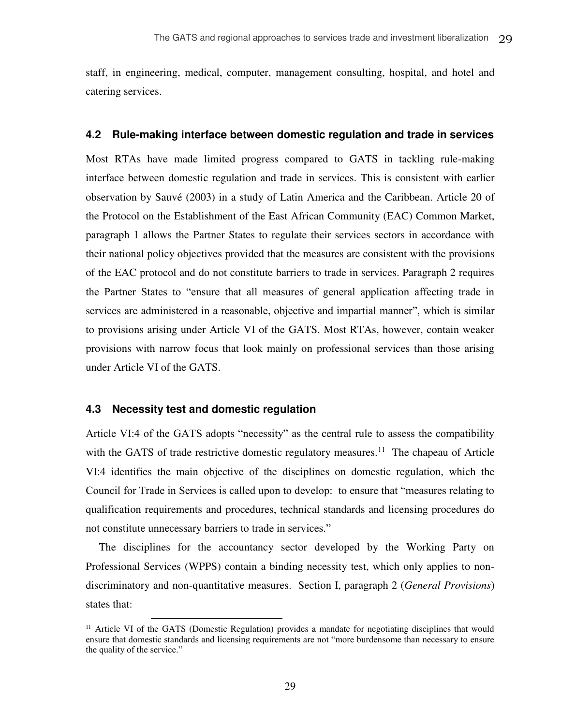staff, in engineering, medical, computer, management consulting, hospital, and hotel and catering services.

#### <span id="page-33-0"></span>**4.2 Rule-making interface between domestic regulation and trade in services**

Most RTAs have made limited progress compared to GATS in tackling rule-making interface between domestic regulation and trade in services. This is consistent with earlier observation by Sauvé (2003) in a study of Latin America and the Caribbean. Article 20 of the Protocol on the Establishment of the East African Community (EAC) Common Market, paragraph 1 allows the Partner States to regulate their services sectors in accordance with their national policy objectives provided that the measures are consistent with the provisions of the EAC protocol and do not constitute barriers to trade in services. Paragraph 2 requires the Partner States to "ensure that all measures of general application affecting trade in services are administered in a reasonable, objective and impartial manner", which is similar to provisions arising under Article VI of the GATS. Most RTAs, however, contain weaker provisions with narrow focus that look mainly on professional services than those arising under Article VI of the GATS.

#### <span id="page-33-1"></span>**4.3 Necessity test and domestic regulation**

 $\overline{a}$ 

Article VI:4 of the GATS adopts "necessity" as the central rule to assess the compatibility with the GATS of trade restrictive domestic regulatory measures.<sup>11</sup> The chapeau of Article VI:4 identifies the main objective of the disciplines on domestic regulation, which the Council for Trade in Services is called upon to develop: to ensure that "measures relating to qualification requirements and procedures, technical standards and licensing procedures do not constitute unnecessary barriers to trade in services."

The disciplines for the accountancy sector developed by the Working Party on Professional Services (WPPS) contain a binding necessity test, which only applies to nondiscriminatory and non-quantitative measures. Section I, paragraph 2 (*General Provisions*) states that:

<sup>&</sup>lt;sup>11</sup> Article VI of the GATS (Domestic Regulation) provides a mandate for negotiating disciplines that would ensure that domestic standards and licensing requirements are not "more burdensome than necessary to ensure the quality of the service."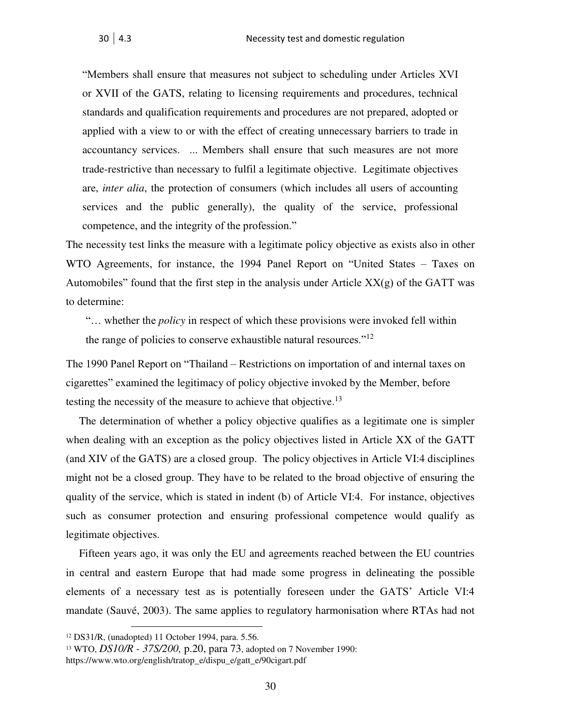"Members shall ensure that measures not subject to scheduling under Articles XVI or XVII of the GATS, relating to licensing requirements and procedures, technical standards and qualification requirements and procedures are not prepared, adopted or applied with a view to or with the effect of creating unnecessary barriers to trade in accountancy services. ... Members shall ensure that such measures are not more trade-restrictive than necessary to fulfil a legitimate objective. Legitimate objectives are, *inter alia*, the protection of consumers (which includes all users of accounting services and the public generally), the quality of the service, professional competence, and the integrity of the profession."

The necessity test links the measure with a legitimate policy objective as exists also in other WTO Agreements, for instance, the 1994 Panel Report on "United States – Taxes on Automobiles" found that the first step in the analysis under Article  $XX(g)$  of the GATT was to determine:

"… whether the *policy* in respect of which these provisions were invoked fell within the range of policies to conserve exhaustible natural resources."<sup>12</sup>

The 1990 Panel Report on "Thailand – Restrictions on importation of and internal taxes on cigarettes" examined the legitimacy of policy objective invoked by the Member, before testing the necessity of the measure to achieve that objective.<sup>13</sup>

The determination of whether a policy objective qualifies as a legitimate one is simpler when dealing with an exception as the policy objectives listed in Article XX of the GATT (and XIV of the GATS) are a closed group. The policy objectives in Article VI:4 disciplines might not be a closed group. They have to be related to the broad objective of ensuring the quality of the service, which is stated in indent (b) of Article VI:4. For instance, objectives such as consumer protection and ensuring professional competence would qualify as legitimate objectives.

Fifteen years ago, it was only the EU and agreements reached between the EU countries in central and eastern Europe that had made some progress in delineating the possible elements of a necessary test as is potentially foreseen under the GATS' Article VI:4 mandate (Sauvé, 2003). The same applies to regulatory harmonisation where RTAs had not

 $\overline{a}$ 

<sup>12</sup> DS31/R, (unadopted) 11 October 1994, para. 5.56.

<sup>13</sup> WTO, *DS10/R - 37S/200,* p.20, para 73, adopted on 7 November 1990: https://www.wto.org/english/tratop\_e/dispu\_e/gatt\_e/90cigart.pdf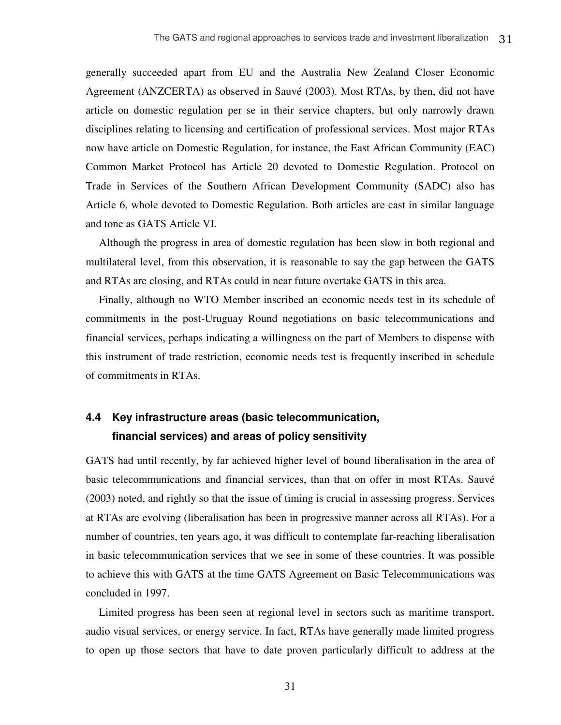generally succeeded apart from EU and the Australia New Zealand Closer Economic Agreement (ANZCERTA) as observed in Sauvé (2003). Most RTAs, by then, did not have article on domestic regulation per se in their service chapters, but only narrowly drawn disciplines relating to licensing and certification of professional services. Most major RTAs now have article on Domestic Regulation, for instance, the East African Community (EAC) Common Market Protocol has Article 20 devoted to Domestic Regulation. Protocol on Trade in Services of the Southern African Development Community (SADC) also has Article 6, whole devoted to Domestic Regulation. Both articles are cast in similar language and tone as GATS Article VI.

Although the progress in area of domestic regulation has been slow in both regional and multilateral level, from this observation, it is reasonable to say the gap between the GATS and RTAs are closing, and RTAs could in near future overtake GATS in this area.

Finally, although no WTO Member inscribed an economic needs test in its schedule of commitments in the post-Uruguay Round negotiations on basic telecommunications and financial services, perhaps indicating a willingness on the part of Members to dispense with this instrument of trade restriction, economic needs test is frequently inscribed in schedule of commitments in RTAs.

## <span id="page-35-0"></span>**4.4 Key infrastructure areas (basic telecommunication, financial services) and areas of policy sensitivity**

GATS had until recently, by far achieved higher level of bound liberalisation in the area of basic telecommunications and financial services, than that on offer in most RTAs. Sauvé (2003) noted, and rightly so that the issue of timing is crucial in assessing progress. Services at RTAs are evolving (liberalisation has been in progressive manner across all RTAs). For a number of countries, ten years ago, it was difficult to contemplate far-reaching liberalisation in basic telecommunication services that we see in some of these countries. It was possible to achieve this with GATS at the time GATS Agreement on Basic Telecommunications was concluded in 1997.

Limited progress has been seen at regional level in sectors such as maritime transport, audio visual services, or energy service. In fact, RTAs have generally made limited progress to open up those sectors that have to date proven particularly difficult to address at the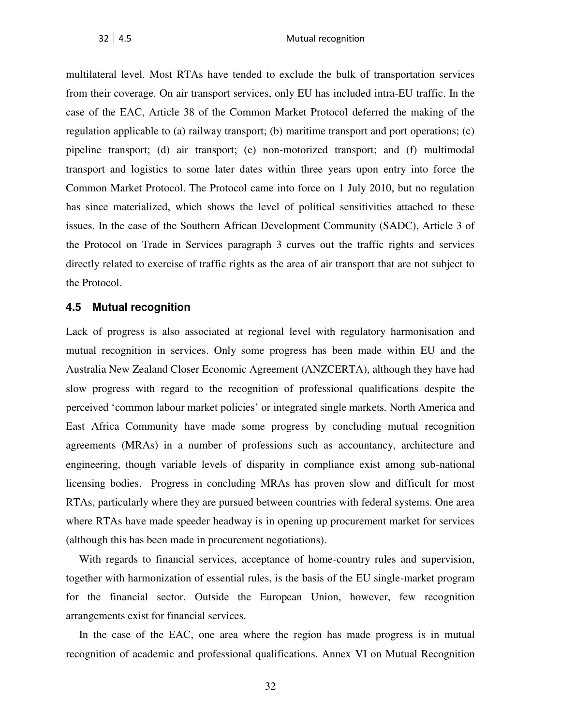multilateral level. Most RTAs have tended to exclude the bulk of transportation services from their coverage. On air transport services, only EU has included intra-EU traffic. In the case of the EAC, Article 38 of the Common Market Protocol deferred the making of the regulation applicable to (a) railway transport; (b) maritime transport and port operations; (c) pipeline transport; (d) air transport; (e) non-motorized transport; and (f) multimodal transport and logistics to some later dates within three years upon entry into force the Common Market Protocol. The Protocol came into force on 1 July 2010, but no regulation has since materialized, which shows the level of political sensitivities attached to these issues. In the case of the Southern African Development Community (SADC), Article 3 of the Protocol on Trade in Services paragraph 3 curves out the traffic rights and services directly related to exercise of traffic rights as the area of air transport that are not subject to the Protocol.

#### <span id="page-36-0"></span>**4.5 Mutual recognition**

Lack of progress is also associated at regional level with regulatory harmonisation and mutual recognition in services. Only some progress has been made within EU and the Australia New Zealand Closer Economic Agreement (ANZCERTA), although they have had slow progress with regard to the recognition of professional qualifications despite the perceived 'common labour market policies' or integrated single markets. North America and East Africa Community have made some progress by concluding mutual recognition agreements (MRAs) in a number of professions such as accountancy, architecture and engineering, though variable levels of disparity in compliance exist among sub-national licensing bodies. Progress in concluding MRAs has proven slow and difficult for most RTAs, particularly where they are pursued between countries with federal systems. One area where RTAs have made speeder headway is in opening up procurement market for services (although this has been made in procurement negotiations).

With regards to financial services, acceptance of home-country rules and supervision, together with harmonization of essential rules, is the basis of the EU single-market program for the financial sector. Outside the European Union, however, few recognition arrangements exist for financial services.

In the case of the EAC, one area where the region has made progress is in mutual recognition of academic and professional qualifications. Annex VI on Mutual Recognition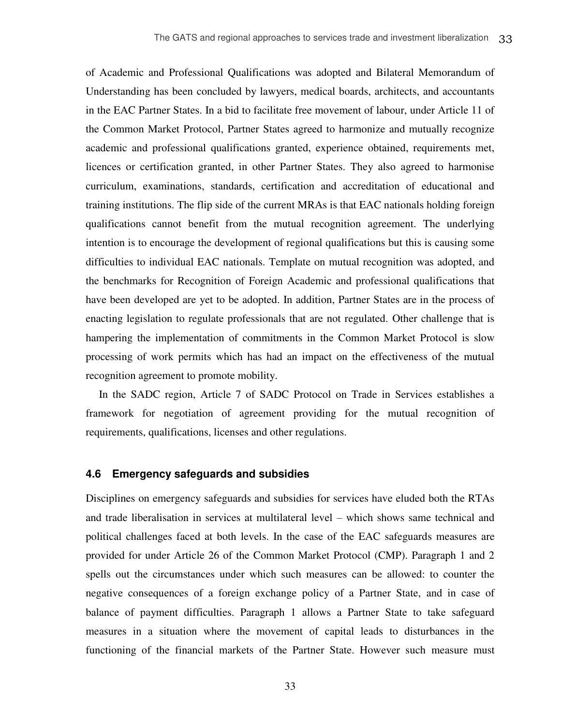of Academic and Professional Qualifications was adopted and Bilateral Memorandum of Understanding has been concluded by lawyers, medical boards, architects, and accountants in the EAC Partner States. In a bid to facilitate free movement of labour, under Article 11 of the Common Market Protocol, Partner States agreed to harmonize and mutually recognize academic and professional qualifications granted, experience obtained, requirements met, licences or certification granted, in other Partner States. They also agreed to harmonise curriculum, examinations, standards, certification and accreditation of educational and training institutions. The flip side of the current MRAs is that EAC nationals holding foreign qualifications cannot benefit from the mutual recognition agreement. The underlying intention is to encourage the development of regional qualifications but this is causing some difficulties to individual EAC nationals. Template on mutual recognition was adopted, and the benchmarks for Recognition of Foreign Academic and professional qualifications that have been developed are yet to be adopted. In addition, Partner States are in the process of enacting legislation to regulate professionals that are not regulated. Other challenge that is hampering the implementation of commitments in the Common Market Protocol is slow processing of work permits which has had an impact on the effectiveness of the mutual recognition agreement to promote mobility.

In the SADC region, Article 7 of SADC Protocol on Trade in Services establishes a framework for negotiation of agreement providing for the mutual recognition of requirements, qualifications, licenses and other regulations.

#### <span id="page-37-0"></span>**4.6 Emergency safeguards and subsidies**

Disciplines on emergency safeguards and subsidies for services have eluded both the RTAs and trade liberalisation in services at multilateral level – which shows same technical and political challenges faced at both levels. In the case of the EAC safeguards measures are provided for under Article 26 of the Common Market Protocol (CMP). Paragraph 1 and 2 spells out the circumstances under which such measures can be allowed: to counter the negative consequences of a foreign exchange policy of a Partner State, and in case of balance of payment difficulties. Paragraph 1 allows a Partner State to take safeguard measures in a situation where the movement of capital leads to disturbances in the functioning of the financial markets of the Partner State. However such measure must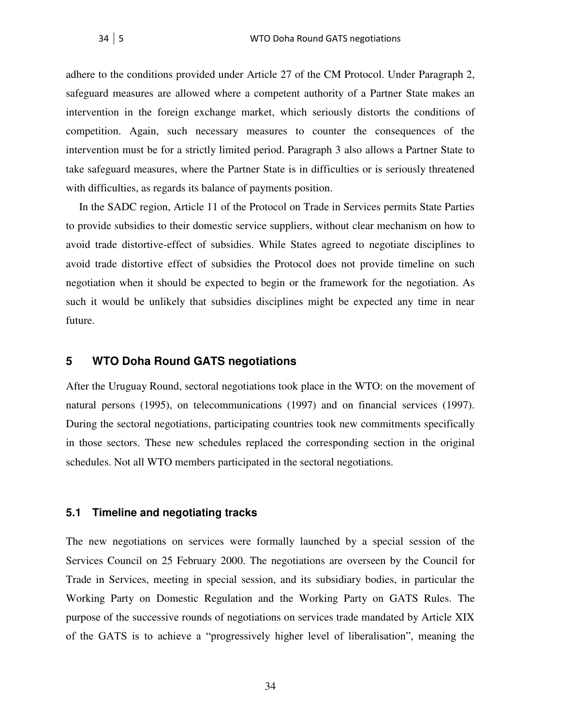adhere to the conditions provided under Article 27 of the CM Protocol. Under Paragraph 2, safeguard measures are allowed where a competent authority of a Partner State makes an intervention in the foreign exchange market, which seriously distorts the conditions of competition. Again, such necessary measures to counter the consequences of the intervention must be for a strictly limited period. Paragraph 3 also allows a Partner State to take safeguard measures, where the Partner State is in difficulties or is seriously threatened with difficulties, as regards its balance of payments position.

In the SADC region, Article 11 of the Protocol on Trade in Services permits State Parties to provide subsidies to their domestic service suppliers, without clear mechanism on how to avoid trade distortive-effect of subsidies. While States agreed to negotiate disciplines to avoid trade distortive effect of subsidies the Protocol does not provide timeline on such negotiation when it should be expected to begin or the framework for the negotiation. As such it would be unlikely that subsidies disciplines might be expected any time in near future.

#### <span id="page-38-0"></span>**5 WTO Doha Round GATS negotiations**

After the Uruguay Round, sectoral negotiations took place in the WTO: on the movement of natural persons (1995), on telecommunications (1997) and on financial services (1997). During the sectoral negotiations, participating countries took new commitments specifically in those sectors. These new schedules replaced the corresponding section in the original schedules. Not all WTO members participated in the sectoral negotiations.

#### <span id="page-38-1"></span>**5.1 Timeline and negotiating tracks**

The new negotiations on services were formally launched by a special session of the Services Council on 25 February 2000. The negotiations are overseen by the Council for Trade in Services, meeting in special session, and its subsidiary bodies, in particular the Working Party on Domestic Regulation and the Working Party on GATS Rules. The purpose of the successive rounds of negotiations on services trade mandated by Article XIX of the GATS is to achieve a "progressively higher level of liberalisation", meaning the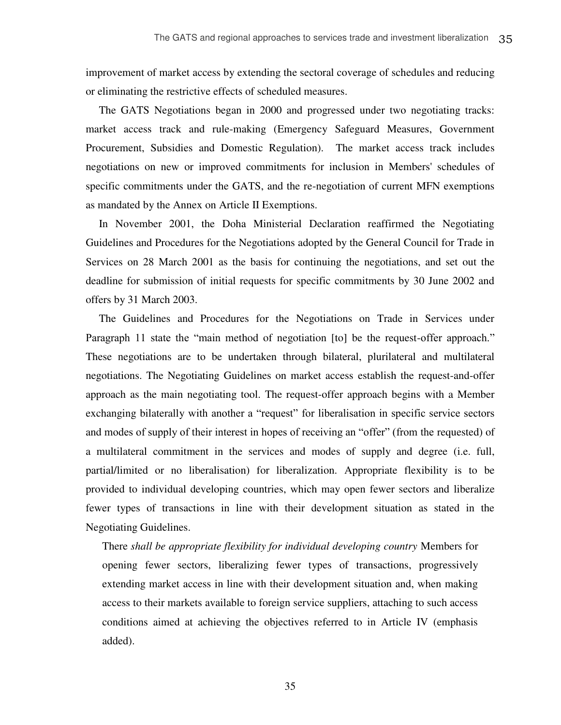improvement of market access by extending the sectoral coverage of schedules and reducing or eliminating the restrictive effects of scheduled measures.

The GATS Negotiations began in 2000 and progressed under two negotiating tracks: market access track and rule-making (Emergency Safeguard Measures, Government Procurement, Subsidies and Domestic Regulation). The market access track includes negotiations on new or improved commitments for inclusion in Members' schedules of specific commitments under the GATS, and the re-negotiation of current MFN exemptions as mandated by the Annex on Article II Exemptions.

In November 2001, the Doha Ministerial Declaration reaffirmed the Negotiating Guidelines and Procedures for the Negotiations adopted by the General Council for Trade in Services on 28 March 2001 as the basis for continuing the negotiations, and set out the deadline for submission of initial requests for specific commitments by 30 June 2002 and offers by 31 March 2003.

The Guidelines and Procedures for the Negotiations on Trade in Services under Paragraph 11 state the "main method of negotiation [to] be the request-offer approach." These negotiations are to be undertaken through bilateral, plurilateral and multilateral negotiations. The Negotiating Guidelines on market access establish the request-and-offer approach as the main negotiating tool. The request-offer approach begins with a Member exchanging bilaterally with another a "request" for liberalisation in specific service sectors and modes of supply of their interest in hopes of receiving an "offer" (from the requested) of a multilateral commitment in the services and modes of supply and degree (i.e. full, partial/limited or no liberalisation) for liberalization. Appropriate flexibility is to be provided to individual developing countries, which may open fewer sectors and liberalize fewer types of transactions in line with their development situation as stated in the Negotiating Guidelines.

There *shall be appropriate flexibility for individual developing country* Members for opening fewer sectors, liberalizing fewer types of transactions, progressively extending market access in line with their development situation and, when making access to their markets available to foreign service suppliers, attaching to such access conditions aimed at achieving the objectives referred to in Article IV (emphasis added).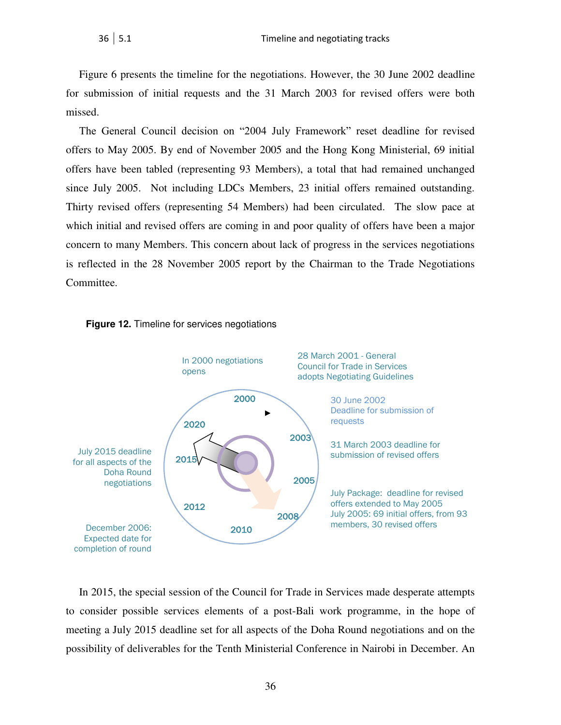Figure 6 presents the timeline for the negotiations. However, the 30 June 2002 deadline for submission of initial requests and the 31 March 2003 for revised offers were both missed.

The General Council decision on "2004 July Framework" reset deadline for revised offers to May 2005. By end of November 2005 and the Hong Kong Ministerial, 69 initial offers have been tabled (representing 93 Members), a total that had remained unchanged since July 2005. Not including LDCs Members, 23 initial offers remained outstanding. Thirty revised offers (representing 54 Members) had been circulated. The slow pace at which initial and revised offers are coming in and poor quality of offers have been a major concern to many Members. This concern about lack of progress in the services negotiations is reflected in the 28 November 2005 report by the Chairman to the Trade Negotiations Committee.



#### <span id="page-40-0"></span>**Figure 12.** Timeline for services negotiations

In 2015, the special session of the Council for Trade in Services made desperate attempts to consider possible services elements of a post-Bali work programme, in the hope of meeting a July 2015 deadline set for all aspects of the Doha Round negotiations and on the possibility of deliverables for the Tenth Ministerial Conference in Nairobi in December. An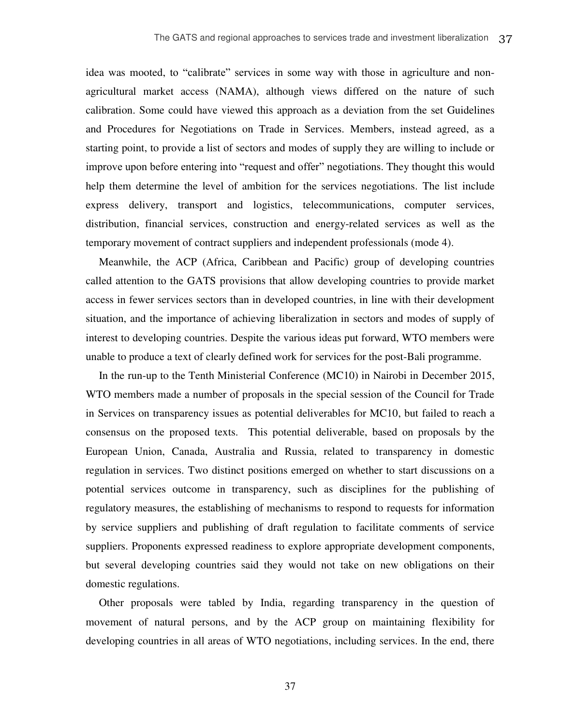idea was mooted, to "calibrate" services in some way with those in agriculture and nonagricultural market access (NAMA), although views differed on the nature of such calibration. Some could have viewed this approach as a deviation from the set Guidelines and Procedures for Negotiations on Trade in Services. Members, instead agreed, as a starting point, to provide a list of sectors and modes of supply they are willing to include or improve upon before entering into "request and offer" negotiations. They thought this would help them determine the level of ambition for the services negotiations. The list include express delivery, transport and logistics, telecommunications, computer services, distribution, financial services, construction and energy-related services as well as the temporary movement of contract suppliers and independent professionals (mode 4).

Meanwhile, the ACP (Africa, Caribbean and Pacific) group of developing countries called attention to the GATS provisions that allow developing countries to provide market access in fewer services sectors than in developed countries, in line with their development situation, and the importance of achieving liberalization in sectors and modes of supply of interest to developing countries. Despite the various ideas put forward, WTO members were unable to produce a text of clearly defined work for services for the post-Bali programme.

In the run-up to the Tenth Ministerial Conference (MC10) in Nairobi in December 2015, WTO members made a number of proposals in the special session of the Council for Trade in Services on transparency issues as potential deliverables for MC10, but failed to reach a consensus on the proposed texts. This potential deliverable, based on proposals by the European Union, Canada, Australia and Russia, related to transparency in domestic regulation in services. Two distinct positions emerged on whether to start discussions on a potential services outcome in transparency, such as disciplines for the publishing of regulatory measures, the establishing of mechanisms to respond to requests for information by service suppliers and publishing of draft regulation to facilitate comments of service suppliers. Proponents expressed readiness to explore appropriate development components, but several developing countries said they would not take on new obligations on their domestic regulations.

Other proposals were tabled by India, regarding transparency in the question of movement of natural persons, and by the ACP group on maintaining flexibility for developing countries in all areas of WTO negotiations, including services. In the end, there

37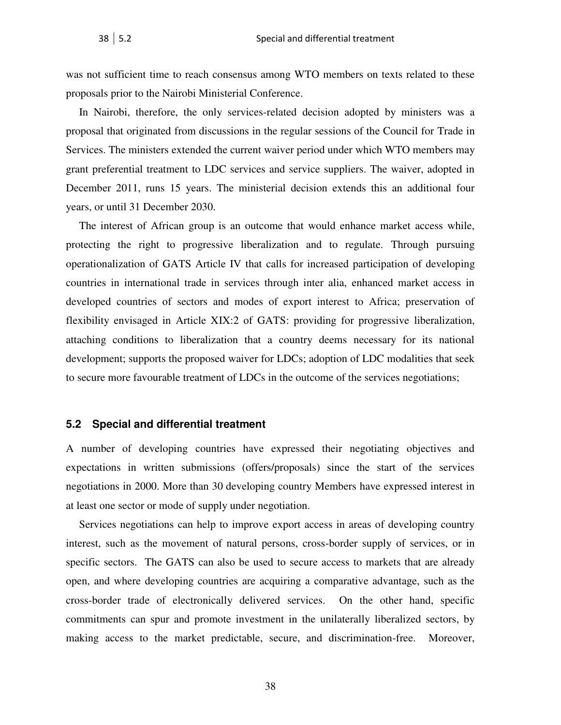was not sufficient time to reach consensus among WTO members on texts related to these proposals prior to the Nairobi Ministerial Conference.

In Nairobi, therefore, the only services-related decision adopted by ministers was a proposal that originated from discussions in the regular sessions of the Council for Trade in Services. The ministers extended the current waiver period under which WTO members may grant preferential treatment to LDC services and service suppliers. The waiver, adopted in December 2011, runs 15 years. The ministerial decision extends this an additional four years, or until 31 December 2030.

The interest of African group is an outcome that would enhance market access while, protecting the right to progressive liberalization and to regulate. Through pursuing operationalization of GATS Article IV that calls for increased participation of developing countries in international trade in services through inter alia, enhanced market access in developed countries of sectors and modes of export interest to Africa; preservation of flexibility envisaged in Article XIX:2 of GATS: providing for progressive liberalization, attaching conditions to liberalization that a country deems necessary for its national development; supports the proposed waiver for LDCs; adoption of LDC modalities that seek to secure more favourable treatment of LDCs in the outcome of the services negotiations;

#### <span id="page-42-0"></span>**5.2 Special and differential treatment**

A number of developing countries have expressed their negotiating objectives and expectations in written submissions (offers/proposals) since the start of the services negotiations in 2000. More than 30 developing country Members have expressed interest in at least one sector or mode of supply under negotiation.

Services negotiations can help to improve export access in areas of developing country interest, such as the movement of natural persons, cross-border supply of services, or in specific sectors. The GATS can also be used to secure access to markets that are already open, and where developing countries are acquiring a comparative advantage, such as the cross-border trade of electronically delivered services. On the other hand, specific commitments can spur and promote investment in the unilaterally liberalized sectors, by making access to the market predictable, secure, and discrimination-free. Moreover,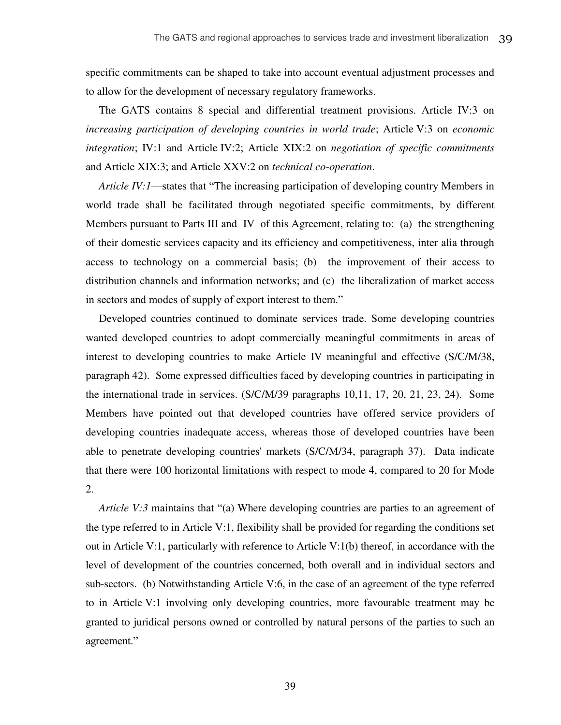specific commitments can be shaped to take into account eventual adjustment processes and to allow for the development of necessary regulatory frameworks.

The GATS contains 8 special and differential treatment provisions. Article IV:3 on *increasing participation of developing countries in world trade*; Article V:3 on *economic integration*; IV:1 and Article IV:2; Article XIX:2 on *negotiation of specific commitments* and Article XIX:3; and Article XXV:2 on *technical co-operation*.

*Article IV:1*—states that "The increasing participation of developing country Members in world trade shall be facilitated through negotiated specific commitments, by different Members pursuant to Parts III and IV of this Agreement, relating to: (a) the strengthening of their domestic services capacity and its efficiency and competitiveness, inter alia through access to technology on a commercial basis; (b) the improvement of their access to distribution channels and information networks; and (c) the liberalization of market access in sectors and modes of supply of export interest to them."

Developed countries continued to dominate services trade. Some developing countries wanted developed countries to adopt commercially meaningful commitments in areas of interest to developing countries to make Article IV meaningful and effective (S/C/M/38, paragraph 42). Some expressed difficulties faced by developing countries in participating in the international trade in services. (S/C/M/39 paragraphs 10,11, 17, 20, 21, 23, 24). Some Members have pointed out that developed countries have offered service providers of developing countries inadequate access, whereas those of developed countries have been able to penetrate developing countries' markets (S/C/M/34, paragraph 37). Data indicate that there were 100 horizontal limitations with respect to mode 4, compared to 20 for Mode 2.

*Article V:3* maintains that "(a) Where developing countries are parties to an agreement of the type referred to in Article V:1, flexibility shall be provided for regarding the conditions set out in Article V:1, particularly with reference to Article V:1(b) thereof, in accordance with the level of development of the countries concerned, both overall and in individual sectors and sub-sectors. (b) Notwithstanding Article V:6, in the case of an agreement of the type referred to in Article V:1 involving only developing countries, more favourable treatment may be granted to juridical persons owned or controlled by natural persons of the parties to such an agreement."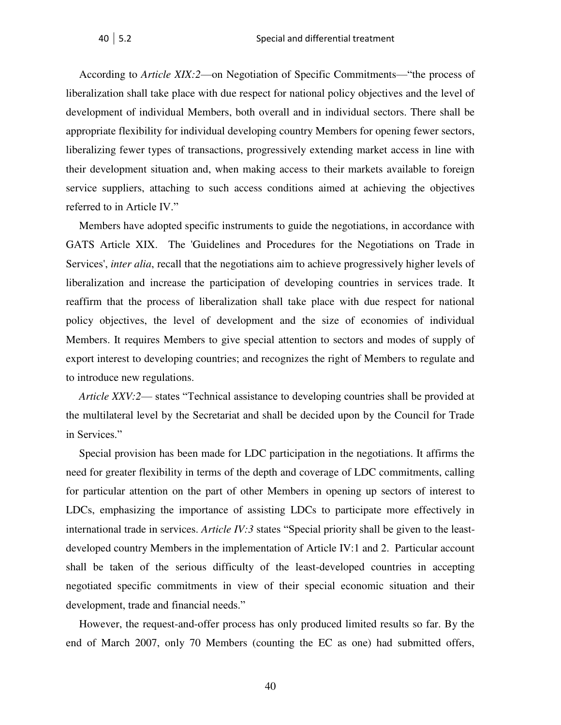According to *Article XIX:2*—on Negotiation of Specific Commitments—"the process of liberalization shall take place with due respect for national policy objectives and the level of development of individual Members, both overall and in individual sectors. There shall be appropriate flexibility for individual developing country Members for opening fewer sectors, liberalizing fewer types of transactions, progressively extending market access in line with their development situation and, when making access to their markets available to foreign service suppliers, attaching to such access conditions aimed at achieving the objectives referred to in Article IV."

Members have adopted specific instruments to guide the negotiations, in accordance with GATS Article XIX. The 'Guidelines and Procedures for the Negotiations on Trade in Services', *inter alia*, recall that the negotiations aim to achieve progressively higher levels of liberalization and increase the participation of developing countries in services trade. It reaffirm that the process of liberalization shall take place with due respect for national policy objectives, the level of development and the size of economies of individual Members. It requires Members to give special attention to sectors and modes of supply of export interest to developing countries; and recognizes the right of Members to regulate and to introduce new regulations.

*Article XXV:2*— states "Technical assistance to developing countries shall be provided at the multilateral level by the Secretariat and shall be decided upon by the Council for Trade in Services."

Special provision has been made for LDC participation in the negotiations. It affirms the need for greater flexibility in terms of the depth and coverage of LDC commitments, calling for particular attention on the part of other Members in opening up sectors of interest to LDCs, emphasizing the importance of assisting LDCs to participate more effectively in international trade in services. *Article IV:3* states "Special priority shall be given to the leastdeveloped country Members in the implementation of Article IV:1 and 2. Particular account shall be taken of the serious difficulty of the least-developed countries in accepting negotiated specific commitments in view of their special economic situation and their development, trade and financial needs."

However, the request-and-offer process has only produced limited results so far. By the end of March 2007, only 70 Members (counting the EC as one) had submitted offers,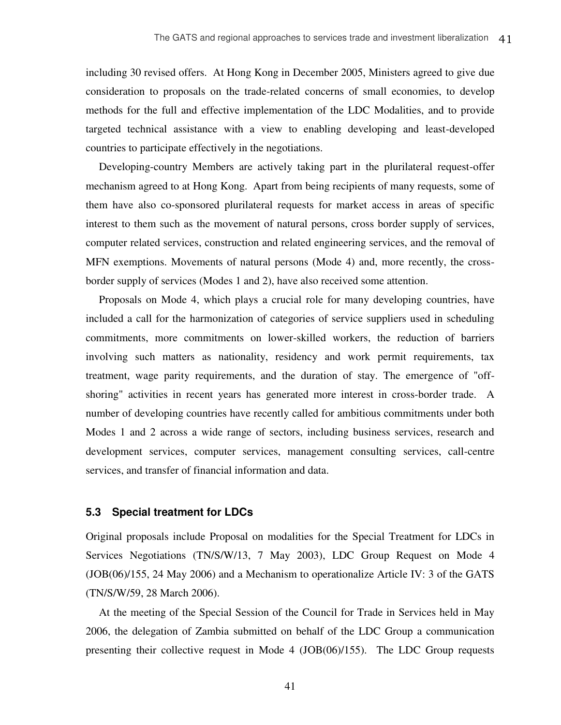including 30 revised offers. At Hong Kong in December 2005, Ministers agreed to give due consideration to proposals on the trade-related concerns of small economies, to develop methods for the full and effective implementation of the LDC Modalities, and to provide targeted technical assistance with a view to enabling developing and least-developed countries to participate effectively in the negotiations.

Developing-country Members are actively taking part in the plurilateral request-offer mechanism agreed to at Hong Kong. Apart from being recipients of many requests, some of them have also co-sponsored plurilateral requests for market access in areas of specific interest to them such as the movement of natural persons, cross border supply of services, computer related services, construction and related engineering services, and the removal of MFN exemptions. Movements of natural persons (Mode 4) and, more recently, the crossborder supply of services (Modes 1 and 2), have also received some attention.

Proposals on Mode 4, which plays a crucial role for many developing countries, have included a call for the harmonization of categories of service suppliers used in scheduling commitments, more commitments on lower-skilled workers, the reduction of barriers involving such matters as nationality, residency and work permit requirements, tax treatment, wage parity requirements, and the duration of stay. The emergence of "offshoring" activities in recent years has generated more interest in cross-border trade. A number of developing countries have recently called for ambitious commitments under both Modes 1 and 2 across a wide range of sectors, including business services, research and development services, computer services, management consulting services, call-centre services, and transfer of financial information and data.

#### <span id="page-45-0"></span>**5.3 Special treatment for LDCs**

Original proposals include Proposal on modalities for the Special Treatment for LDCs in Services Negotiations (TN/S/W/13, 7 May 2003), LDC Group Request on Mode 4 (JOB(06)/155, 24 May 2006) and a Mechanism to operationalize Article IV: 3 of the GATS (TN/S/W/59, 28 March 2006).

At the meeting of the Special Session of the Council for Trade in Services held in May 2006, the delegation of Zambia submitted on behalf of the LDC Group a communication presenting their collective request in Mode 4 (JOB(06)/155). The LDC Group requests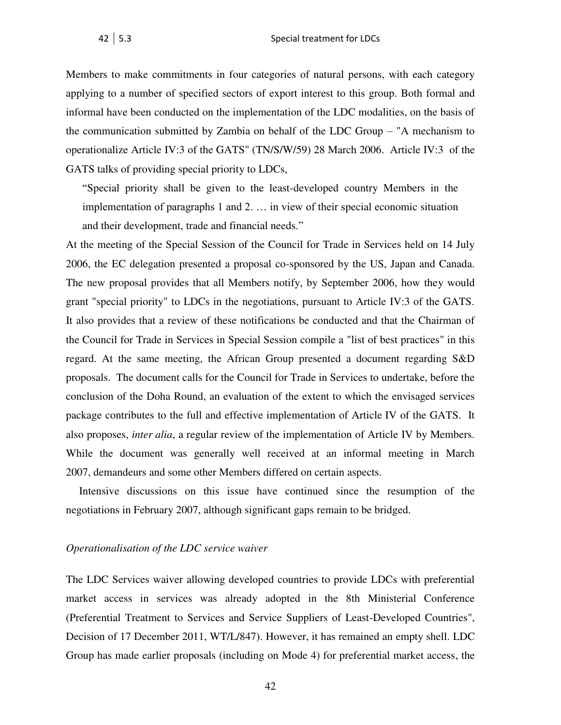Members to make commitments in four categories of natural persons, with each category applying to a number of specified sectors of export interest to this group. Both formal and informal have been conducted on the implementation of the LDC modalities, on the basis of the communication submitted by Zambia on behalf of the LDC Group – "A mechanism to operationalize Article IV:3 of the GATS" (TN/S/W/59) 28 March 2006. Article IV:3 of the GATS talks of providing special priority to LDCs,

"Special priority shall be given to the least-developed country Members in the implementation of paragraphs 1 and 2. … in view of their special economic situation and their development, trade and financial needs."

At the meeting of the Special Session of the Council for Trade in Services held on 14 July 2006, the EC delegation presented a proposal co-sponsored by the US, Japan and Canada. The new proposal provides that all Members notify, by September 2006, how they would grant "special priority" to LDCs in the negotiations, pursuant to Article IV:3 of the GATS. It also provides that a review of these notifications be conducted and that the Chairman of the Council for Trade in Services in Special Session compile a "list of best practices" in this regard. At the same meeting, the African Group presented a document regarding S&D proposals. The document calls for the Council for Trade in Services to undertake, before the conclusion of the Doha Round, an evaluation of the extent to which the envisaged services package contributes to the full and effective implementation of Article IV of the GATS. It also proposes, *inter alia*, a regular review of the implementation of Article IV by Members. While the document was generally well received at an informal meeting in March 2007, demandeurs and some other Members differed on certain aspects.

Intensive discussions on this issue have continued since the resumption of the negotiations in February 2007, although significant gaps remain to be bridged.

#### *Operationalisation of the LDC service waiver*

The LDC Services waiver allowing developed countries to provide LDCs with preferential market access in services was already adopted in the 8th Ministerial Conference (Preferential Treatment to Services and Service Suppliers of Least-Developed Countries", Decision of 17 December 2011, WT/L/847). However, it has remained an empty shell. LDC Group has made earlier proposals (including on Mode 4) for preferential market access, the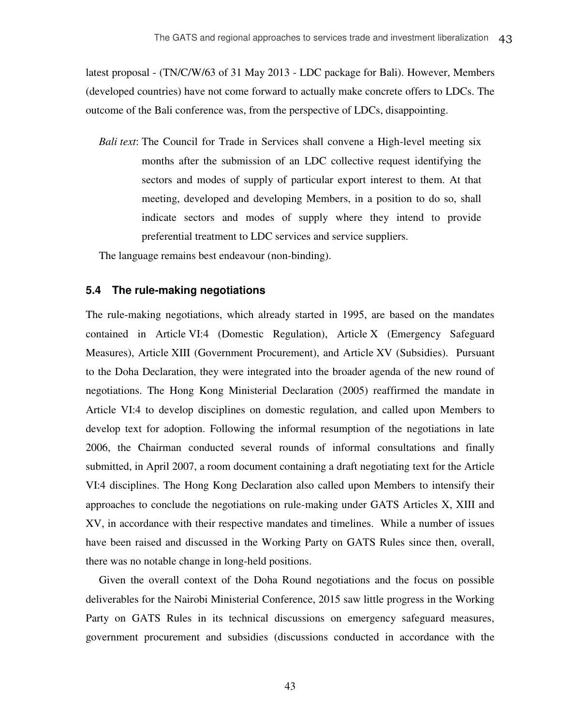latest proposal - (TN/C/W/63 of 31 May 2013 - LDC package for Bali). However, Members (developed countries) have not come forward to actually make concrete offers to LDCs. The outcome of the Bali conference was, from the perspective of LDCs, disappointing.

*Bali text*: The Council for Trade in Services shall convene a High-level meeting six months after the submission of an LDC collective request identifying the sectors and modes of supply of particular export interest to them. At that meeting, developed and developing Members, in a position to do so, shall indicate sectors and modes of supply where they intend to provide preferential treatment to LDC services and service suppliers.

The language remains best endeavour (non-binding).

#### <span id="page-47-0"></span>**5.4 The rule-making negotiations**

The rule-making negotiations, which already started in 1995, are based on the mandates contained in Article VI:4 (Domestic Regulation), Article X (Emergency Safeguard Measures), Article XIII (Government Procurement), and Article XV (Subsidies). Pursuant to the Doha Declaration, they were integrated into the broader agenda of the new round of negotiations. The Hong Kong Ministerial Declaration (2005) reaffirmed the mandate in Article VI:4 to develop disciplines on domestic regulation, and called upon Members to develop text for adoption. Following the informal resumption of the negotiations in late 2006, the Chairman conducted several rounds of informal consultations and finally submitted, in April 2007, a room document containing a draft negotiating text for the Article VI:4 disciplines. The Hong Kong Declaration also called upon Members to intensify their approaches to conclude the negotiations on rule-making under GATS Articles X, XIII and XV, in accordance with their respective mandates and timelines. While a number of issues have been raised and discussed in the Working Party on GATS Rules since then, overall, there was no notable change in long-held positions.

Given the overall context of the Doha Round negotiations and the focus on possible deliverables for the Nairobi Ministerial Conference, 2015 saw little progress in the Working Party on GATS Rules in its technical discussions on emergency safeguard measures, government procurement and subsidies (discussions conducted in accordance with the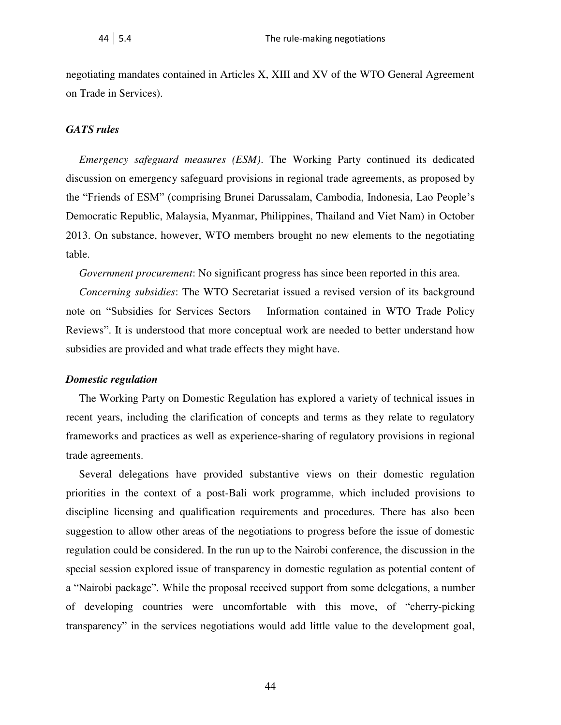negotiating mandates contained in Articles X, XIII and XV of the WTO General Agreement on Trade in Services).

#### *GATS rules*

*Emergency safeguard measures (ESM)*. The Working Party continued its dedicated discussion on emergency safeguard provisions in regional trade agreements, as proposed by the "Friends of ESM" (comprising Brunei Darussalam, Cambodia, Indonesia, Lao People's Democratic Republic, Malaysia, Myanmar, Philippines, Thailand and Viet Nam) in October 2013. On substance, however, WTO members brought no new elements to the negotiating table.

*Government procurement*: No significant progress has since been reported in this area.

*Concerning subsidies*: The WTO Secretariat issued a revised version of its background note on "Subsidies for Services Sectors – Information contained in WTO Trade Policy Reviews". It is understood that more conceptual work are needed to better understand how subsidies are provided and what trade effects they might have.

#### *Domestic regulation*

The Working Party on Domestic Regulation has explored a variety of technical issues in recent years, including the clarification of concepts and terms as they relate to regulatory frameworks and practices as well as experience-sharing of regulatory provisions in regional trade agreements.

Several delegations have provided substantive views on their domestic regulation priorities in the context of a post-Bali work programme, which included provisions to discipline licensing and qualification requirements and procedures. There has also been suggestion to allow other areas of the negotiations to progress before the issue of domestic regulation could be considered. In the run up to the Nairobi conference, the discussion in the special session explored issue of transparency in domestic regulation as potential content of a "Nairobi package". While the proposal received support from some delegations, a number of developing countries were uncomfortable with this move, of "cherry-picking transparency" in the services negotiations would add little value to the development goal,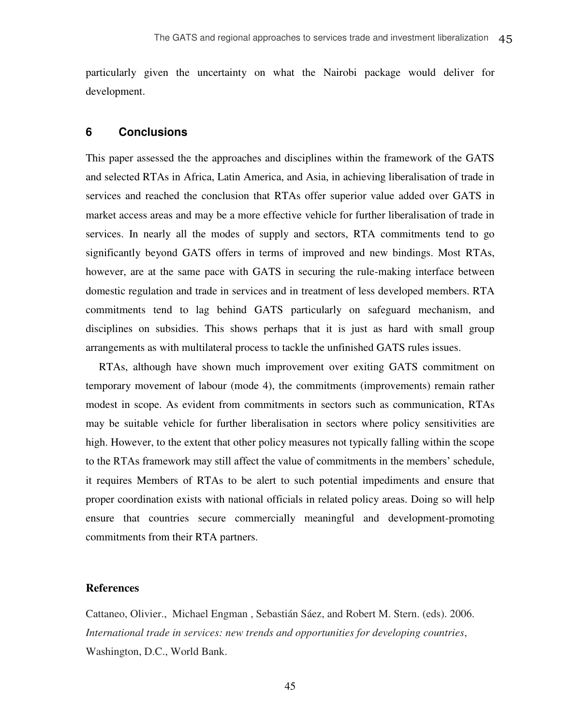particularly given the uncertainty on what the Nairobi package would deliver for development.

#### <span id="page-49-0"></span>**6 Conclusions**

This paper assessed the the approaches and disciplines within the framework of the GATS and selected RTAs in Africa, Latin America, and Asia, in achieving liberalisation of trade in services and reached the conclusion that RTAs offer superior value added over GATS in market access areas and may be a more effective vehicle for further liberalisation of trade in services. In nearly all the modes of supply and sectors, RTA commitments tend to go significantly beyond GATS offers in terms of improved and new bindings. Most RTAs, however, are at the same pace with GATS in securing the rule-making interface between domestic regulation and trade in services and in treatment of less developed members. RTA commitments tend to lag behind GATS particularly on safeguard mechanism, and disciplines on subsidies. This shows perhaps that it is just as hard with small group arrangements as with multilateral process to tackle the unfinished GATS rules issues.

RTAs, although have shown much improvement over exiting GATS commitment on temporary movement of labour (mode 4), the commitments (improvements) remain rather modest in scope. As evident from commitments in sectors such as communication, RTAs may be suitable vehicle for further liberalisation in sectors where policy sensitivities are high. However, to the extent that other policy measures not typically falling within the scope to the RTAs framework may still affect the value of commitments in the members' schedule, it requires Members of RTAs to be alert to such potential impediments and ensure that proper coordination exists with national officials in related policy areas. Doing so will help ensure that countries secure commercially meaningful and development-promoting commitments from their RTA partners.

#### <span id="page-49-1"></span>**References**

Cattaneo, Olivier., Michael Engman , Sebastián Sáez, and Robert M. Stern. (eds). 2006. *International trade in services: new trends and opportunities for developing countries*, Washington, D.C., World Bank.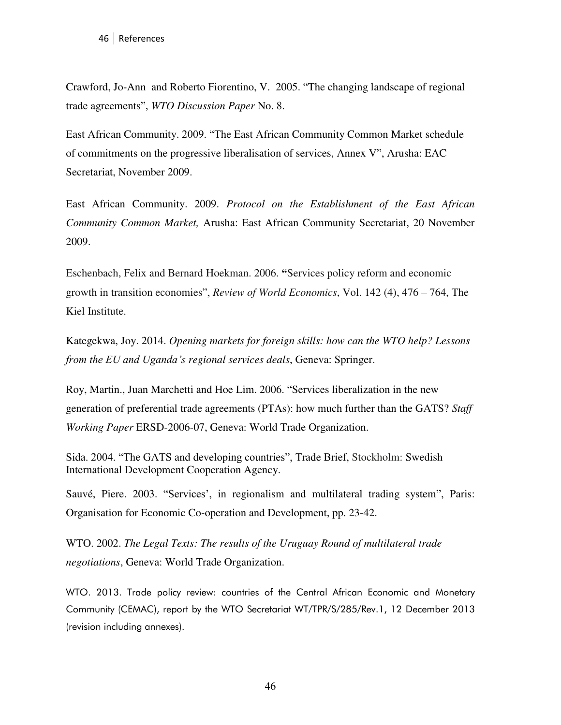Crawford, Jo-Ann and Roberto Fiorentino, V. 2005. "The changing landscape of regional trade agreements", *WTO Discussion Paper* No. 8.

East African Community. 2009. "The East African Community Common Market schedule of commitments on the progressive liberalisation of services, Annex V", Arusha: EAC Secretariat, November 2009.

East African Community. 2009. *Protocol on the Establishment of the East African Community Common Market,* Arusha: East African Community Secretariat, 20 November 2009.

Eschenbach, Felix and Bernard Hoekman. 2006. **"**Services policy reform and economic growth in transition economies", *Review of World Economics*, Vol. 142 (4), 476 – 764, The Kiel Institute.

Kategekwa, Joy. 2014. *Opening markets for foreign skills: how can the WTO help? Lessons from the EU and Uganda's regional services deals*, Geneva: Springer.

Roy, Martin., Juan Marchetti and Hoe Lim. 2006. "Services liberalization in the new generation of preferential trade agreements (PTAs): how much further than the GATS? *Staff Working Paper* ERSD-2006-07, Geneva: World Trade Organization.

Sida. 2004. "The GATS and developing countries", Trade Brief, Stockholm: Swedish International Development Cooperation Agency.

Sauvé, Piere. 2003. "Services', in regionalism and multilateral trading system", Paris: Organisation for Economic Co-operation and Development, pp. 23-42.

WTO. 2002. *The Legal Texts: The results of the Uruguay Round of multilateral trade negotiations*, Geneva: World Trade Organization.

WTO. 2013. Trade policy review: countries of the Central African Economic and Monetary Community (CEMAC), report by the WTO Secretariat WT/TPR/S/285/Rev.1, 12 December 2013 (revision including annexes).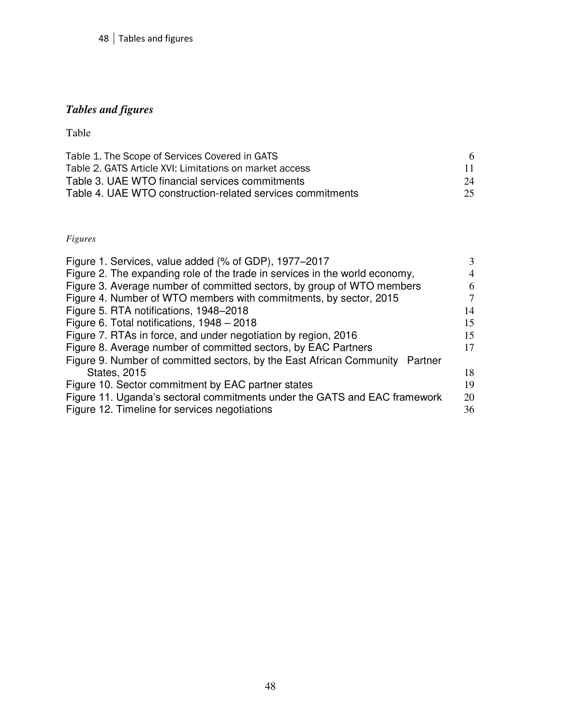## <span id="page-52-0"></span>*Tables and figures*

Table

| Table 1. The Scope of Services Covered in GATS             | 6   |
|------------------------------------------------------------|-----|
| Table 2. GATS Article XVI: Limitations on market access    | 11. |
| Table 3. UAE WTO financial services commitments            | 24  |
| Table 4. UAE WTO construction-related services commitments | 25  |

### *Figures*

| Figure 1. Services, value added (% of GDP), 1977–2017                           | $\mathcal{F}$  |
|---------------------------------------------------------------------------------|----------------|
| Figure 2. The expanding role of the trade in services in the world economy,     | $\overline{4}$ |
| Figure 3. Average number of committed sectors, by group of WTO members          | 6              |
| Figure 4. Number of WTO members with commitments, by sector, 2015               | 7              |
| Figure 5. RTA notifications, 1948–2018                                          | 14             |
| Figure 6. Total notifications, 1948 - 2018                                      | 15             |
| Figure 7. RTAs in force, and under negotiation by region, 2016                  | 15             |
| Figure 8. Average number of committed sectors, by EAC Partners                  | 17             |
| Figure 9. Number of committed sectors, by the East African Community<br>Partner |                |
| <b>States, 2015</b>                                                             | 18             |
| Figure 10. Sector commitment by EAC partner states                              | 19             |
| Figure 11. Uganda's sectoral commitments under the GATS and EAC framework       | 20             |
| Figure 12. Timeline for services negotiations                                   | 36             |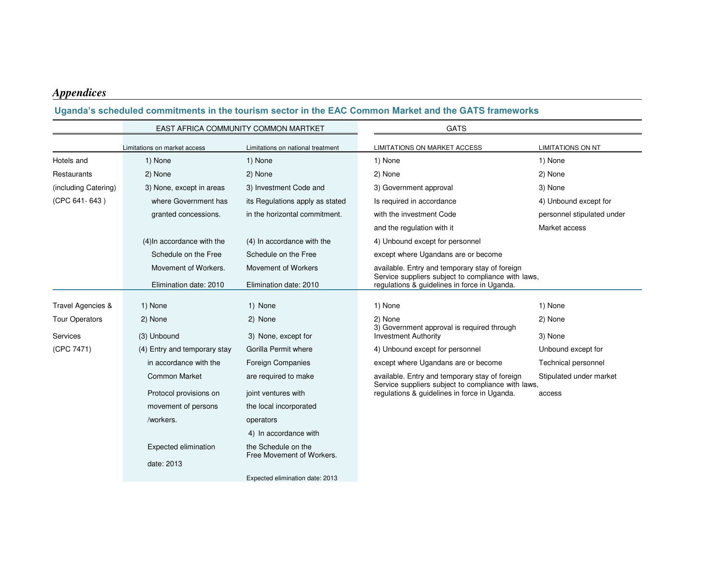## *Appendices*

#### **Uganda's scheduled commitments in the tourism sector in the EAC Common Market and the GATS frameworks**

<span id="page-53-0"></span>

|                       |                              | EAST AFRICA COMMUNITY COMMON MARTKET             | <b>GATS</b>                                                                                          |                            |  |  |  |
|-----------------------|------------------------------|--------------------------------------------------|------------------------------------------------------------------------------------------------------|----------------------------|--|--|--|
|                       | Limitations on market access | Limitations on national treatment                | LIMITATIONS ON MARKET ACCESS                                                                         | <b>LIMITATIONS ON NT</b>   |  |  |  |
| Hotels and            | 1) None                      | 1) None                                          | 1) None                                                                                              | 1) None                    |  |  |  |
| Restaurants           | 2) None                      | 2) None                                          | 2) None                                                                                              | 2) None                    |  |  |  |
| (including Catering)  | 3) None, except in areas     | 3) Investment Code and                           | 3) Government approval                                                                               | 3) None                    |  |  |  |
| (CPC 641-643)         | where Government has         | its Regulations apply as stated                  | Is required in accordance                                                                            | 4) Unbound except for      |  |  |  |
|                       | granted concessions.         | in the horizontal commitment.                    | with the investment Code                                                                             | personnel stipulated under |  |  |  |
|                       |                              |                                                  | and the regulation with it                                                                           | Market access              |  |  |  |
|                       | (4) In accordance with the   | (4) In accordance with the                       | 4) Unbound except for personnel                                                                      |                            |  |  |  |
|                       | Schedule on the Free         | Schedule on the Free                             | except where Ugandans are or become                                                                  |                            |  |  |  |
|                       | Movement of Workers.         | Movement of Workers                              | available. Entry and temporary stay of foreign                                                       |                            |  |  |  |
|                       | Elimination date: 2010       | Elimination date: 2010                           | Service suppliers subject to compliance with laws,<br>regulations & guidelines in force in Uganda.   |                            |  |  |  |
| Travel Agencies &     | 1) None                      | 1) None                                          | 1) None                                                                                              | 1) None                    |  |  |  |
| <b>Tour Operators</b> | 2) None                      | 2) None                                          | 2) None                                                                                              | 2) None                    |  |  |  |
| Services              | (3) Unbound                  | 3) None, except for                              | 3) Government approval is required through<br><b>Investment Authority</b>                            | 3) None                    |  |  |  |
| (CPC 7471)            | (4) Entry and temporary stay | Gorilla Permit where                             | 4) Unbound except for personnel                                                                      | Unbound except for         |  |  |  |
|                       | in accordance with the       | <b>Foreign Companies</b>                         | except where Ugandans are or become                                                                  | <b>Technical personnel</b> |  |  |  |
|                       | <b>Common Market</b>         | are required to make                             | available. Entry and temporary stay of foreign<br>Service suppliers subject to compliance with laws, | Stipulated under market    |  |  |  |
|                       | Protocol provisions on       | joint ventures with                              | regulations & guidelines in force in Uganda.                                                         | access                     |  |  |  |
|                       | movement of persons          | the local incorporated                           |                                                                                                      |                            |  |  |  |
|                       | /workers.                    | operators                                        |                                                                                                      |                            |  |  |  |
|                       |                              | 4) In accordance with                            |                                                                                                      |                            |  |  |  |
|                       | Expected elimination         | the Schedule on the<br>Free Movement of Workers. |                                                                                                      |                            |  |  |  |
|                       | date: 2013                   |                                                  |                                                                                                      |                            |  |  |  |
|                       |                              | Expected elimination date: 2013                  |                                                                                                      |                            |  |  |  |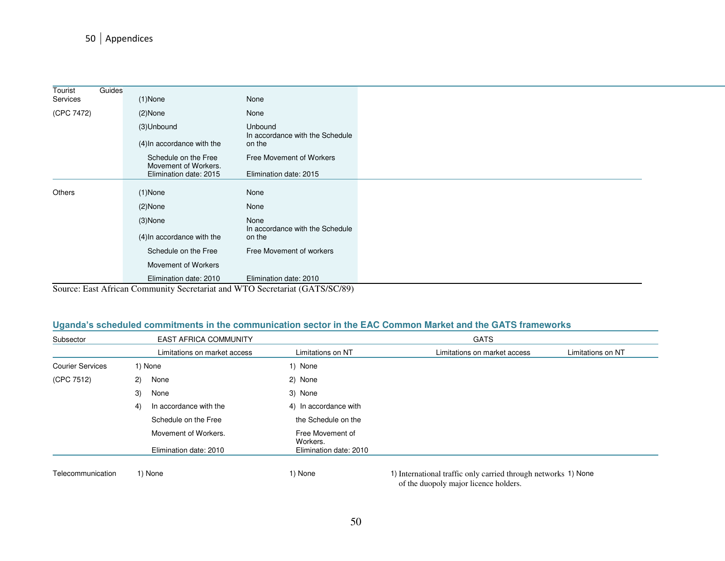### 50 Appendices

| Tourist    | Guides |                                              |                                                                             |
|------------|--------|----------------------------------------------|-----------------------------------------------------------------------------|
| Services   |        | $(1)$ None                                   | None                                                                        |
| (CPC 7472) |        | $(2)$ None                                   | None                                                                        |
|            |        | (3)Unbound                                   | <b>Unbound</b><br>In accordance with the Schedule                           |
|            |        | (4) In accordance with the                   | on the                                                                      |
|            |        | Schedule on the Free<br>Movement of Workers. | Free Movement of Workers                                                    |
|            |        | Elimination date: 2015                       | Elimination date: 2015                                                      |
|            |        |                                              |                                                                             |
| Others     |        | $(1)$ None                                   | None                                                                        |
|            |        | $(2)$ None                                   | None                                                                        |
|            |        | $(3)$ None                                   | None                                                                        |
|            |        | (4) In accordance with the                   | In accordance with the Schedule<br>on the                                   |
|            |        | Schedule on the Free                         | Free Movement of workers                                                    |
|            |        | Movement of Workers                          |                                                                             |
|            |        | Elimination date: 2010                       | Elimination date: 2010                                                      |
|            |        |                                              | Source: East African Community Secretariat and WTO Secretariat (GATS/SC/89) |

#### **Uganda's scheduled commitments in the communication sector in the EAC Common Market and the GATS frameworks**

| Subsector               | <b>EAST AFRICA COMMUNITY</b> |                              | <b>GATS</b>                  |                   |
|-------------------------|------------------------------|------------------------------|------------------------------|-------------------|
|                         | Limitations on market access | Limitations on NT            | Limitations on market access | Limitations on NT |
| <b>Courier Services</b> | 1) None                      | 1) None                      |                              |                   |
| (CPC 7512)              | None<br>(2)                  | 2) None                      |                              |                   |
|                         | 3)<br>None                   | 3) None                      |                              |                   |
|                         | In accordance with the<br>4) | 4) In accordance with        |                              |                   |
|                         | Schedule on the Free         | the Schedule on the          |                              |                   |
|                         | Movement of Workers.         | Free Movement of<br>Workers. |                              |                   |
|                         | Elimination date: 2010       | Elimination date: 2010       |                              |                   |
|                         |                              |                              |                              |                   |

Telecommunication 1) None 1) None 1) International traffic only carried through networks 1) None of the duopoly major licence holders.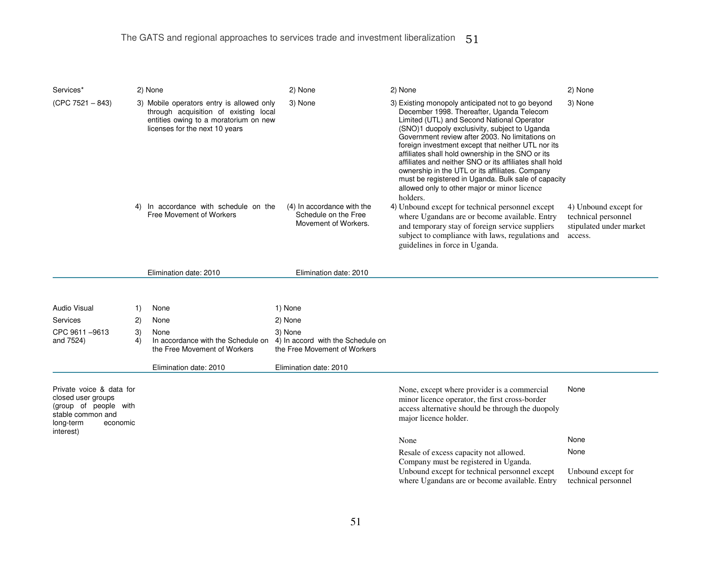| Services*                                                                                                                          |          | 2) None                                                                                                                                                       | 2) None                                                                      | 2) None                                                                                                                                                                                                                                                                                                                                                                                                                                                                                                                                                                                      | 2) None                                                                            |
|------------------------------------------------------------------------------------------------------------------------------------|----------|---------------------------------------------------------------------------------------------------------------------------------------------------------------|------------------------------------------------------------------------------|----------------------------------------------------------------------------------------------------------------------------------------------------------------------------------------------------------------------------------------------------------------------------------------------------------------------------------------------------------------------------------------------------------------------------------------------------------------------------------------------------------------------------------------------------------------------------------------------|------------------------------------------------------------------------------------|
| $(CPC 7521 - 843)$                                                                                                                 |          | 3) Mobile operators entry is allowed only<br>through acquisition of existing local<br>entities owing to a moratorium on new<br>licenses for the next 10 years | 3) None                                                                      | 3) Existing monopoly anticipated not to go beyond<br>December 1998. Thereafter, Uganda Telecom<br>Limited (UTL) and Second National Operator<br>(SNO)1 duopoly exclusivity, subject to Uganda<br>Government review after 2003. No limitations on<br>foreign investment except that neither UTL nor its<br>affiliates shall hold ownership in the SNO or its<br>affiliates and neither SNO or its affiliates shall hold<br>ownership in the UTL or its affiliates. Company<br>must be registered in Uganda. Bulk sale of capacity<br>allowed only to other major or minor licence<br>holders. | 3) None                                                                            |
|                                                                                                                                    | 4)       | In accordance with schedule on the<br>Free Movement of Workers                                                                                                | (4) In accordance with the<br>Schedule on the Free<br>Movement of Workers.   | 4) Unbound except for technical personnel except<br>where Ugandans are or become available. Entry<br>and temporary stay of foreign service suppliers<br>subject to compliance with laws, regulations and<br>guidelines in force in Uganda.                                                                                                                                                                                                                                                                                                                                                   | 4) Unbound except for<br>technical personnel<br>stipulated under market<br>access. |
|                                                                                                                                    |          | Elimination date: 2010                                                                                                                                        | Elimination date: 2010                                                       |                                                                                                                                                                                                                                                                                                                                                                                                                                                                                                                                                                                              |                                                                                    |
|                                                                                                                                    |          |                                                                                                                                                               |                                                                              |                                                                                                                                                                                                                                                                                                                                                                                                                                                                                                                                                                                              |                                                                                    |
| Audio Visual                                                                                                                       | 1)       | None                                                                                                                                                          | 1) None                                                                      |                                                                                                                                                                                                                                                                                                                                                                                                                                                                                                                                                                                              |                                                                                    |
| Services                                                                                                                           | 2)       | None                                                                                                                                                          | 2) None                                                                      |                                                                                                                                                                                                                                                                                                                                                                                                                                                                                                                                                                                              |                                                                                    |
| CPC 9611-9613<br>and 7524)                                                                                                         | 3)<br>4) | None<br>In accordance with the Schedule on<br>the Free Movement of Workers                                                                                    | 3) None<br>4) In accord with the Schedule on<br>the Free Movement of Workers |                                                                                                                                                                                                                                                                                                                                                                                                                                                                                                                                                                                              |                                                                                    |
|                                                                                                                                    |          | Elimination date: 2010                                                                                                                                        | Elimination date: 2010                                                       |                                                                                                                                                                                                                                                                                                                                                                                                                                                                                                                                                                                              |                                                                                    |
| Private voice & data for<br>closed user groups<br>(group of people with<br>stable common and<br>long-term<br>economic<br>interest) |          |                                                                                                                                                               |                                                                              | None, except where provider is a commercial<br>minor licence operator, the first cross-border<br>access alternative should be through the duopoly<br>major licence holder.                                                                                                                                                                                                                                                                                                                                                                                                                   | None                                                                               |
|                                                                                                                                    |          |                                                                                                                                                               |                                                                              | None                                                                                                                                                                                                                                                                                                                                                                                                                                                                                                                                                                                         | None                                                                               |
|                                                                                                                                    |          |                                                                                                                                                               |                                                                              | Resale of excess capacity not allowed.<br>Company must be registered in Uganda.                                                                                                                                                                                                                                                                                                                                                                                                                                                                                                              | None                                                                               |
|                                                                                                                                    |          |                                                                                                                                                               |                                                                              | Unbound except for technical personnel except<br>where Ugandans are or become available. Entry                                                                                                                                                                                                                                                                                                                                                                                                                                                                                               | Unbound except for<br>technical personnel                                          |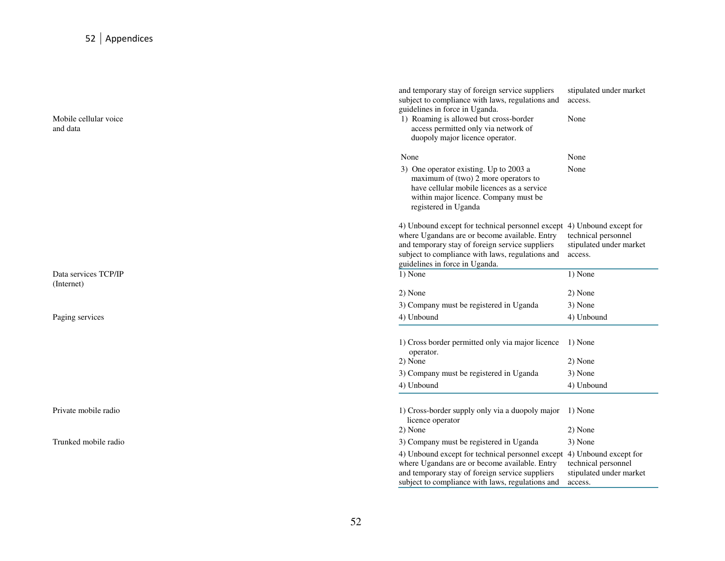## 52 Appendices

Mobile cellular voice and data

Data services TCP/IP (Internet)

Private mobile radio

Trunked mobile radio

|                                   | and temporary stay of foreign service suppliers<br>subject to compliance with laws, regulations and<br>guidelines in force in Uganda.                                                                                                                            | stipulated under market<br>access.                        |
|-----------------------------------|------------------------------------------------------------------------------------------------------------------------------------------------------------------------------------------------------------------------------------------------------------------|-----------------------------------------------------------|
| Mobile cellular voice<br>and data | 1) Roaming is allowed but cross-border<br>access permitted only via network of<br>duopoly major licence operator.                                                                                                                                                | None                                                      |
| None                              |                                                                                                                                                                                                                                                                  | None                                                      |
|                                   | 3) One operator existing. Up to 2003 a<br>maximum of (two) 2 more operators to<br>have cellular mobile licences as a service<br>within major licence. Company must be<br>registered in Uganda                                                                    | None                                                      |
|                                   | 4) Unbound except for technical personnel except 4) Unbound except for<br>where Ugandans are or become available. Entry<br>and temporary stay of foreign service suppliers<br>subject to compliance with laws, regulations and<br>guidelines in force in Uganda. | technical personnel<br>stipulated under market<br>access. |
| 1) None<br>Data services TCP/IP   |                                                                                                                                                                                                                                                                  | 1) None                                                   |
| (Internet)<br>2) None             |                                                                                                                                                                                                                                                                  | 2) None                                                   |
|                                   | 3) Company must be registered in Uganda                                                                                                                                                                                                                          | 3) None                                                   |
| Paging services<br>4) Unbound     |                                                                                                                                                                                                                                                                  | 4) Unbound                                                |
|                                   | 1) Cross border permitted only via major licence<br>operator.                                                                                                                                                                                                    | 1) None                                                   |
| 2) None                           |                                                                                                                                                                                                                                                                  | 2) None                                                   |
|                                   | 3) Company must be registered in Uganda                                                                                                                                                                                                                          | 3) None                                                   |
| 4) Unbound                        |                                                                                                                                                                                                                                                                  | 4) Unbound                                                |
| Private mobile radio              | 1) Cross-border supply only via a duopoly major<br>licence operator                                                                                                                                                                                              | 1) None                                                   |
| 2) None                           |                                                                                                                                                                                                                                                                  | 2) None                                                   |
| Trunked mobile radio              | 3) Company must be registered in Uganda                                                                                                                                                                                                                          | 3) None                                                   |
|                                   | 4) Unbound except for technical personnel except 4) Unbound except for<br>where Ugandans are or become available. Entry<br>and temporary stay of foreign service suppliers<br>subject to compliance with laws, regulations and                                   | technical personnel<br>stipulated under market<br>access. |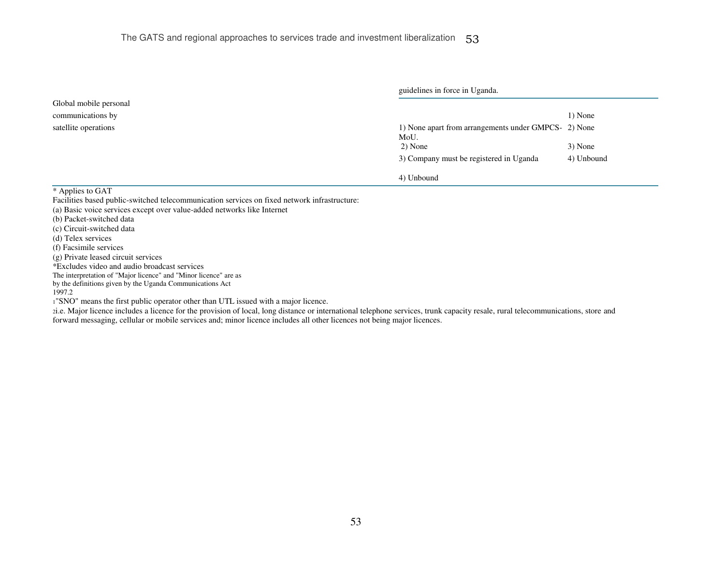|                                                                                      | guidelines in force in Uganda.          |            |
|--------------------------------------------------------------------------------------|-----------------------------------------|------------|
| Global mobile personal                                                               |                                         |            |
| communications by                                                                    |                                         | 1) None    |
| 1) None apart from arrangements under GMPCS- 2) None<br>satellite operations<br>MoU. |                                         |            |
|                                                                                      | 2) None                                 | 3) None    |
|                                                                                      | 3) Company must be registered in Uganda | 4) Unbound |
|                                                                                      | 4) Unbound                              |            |
| ___<br>.                                                                             |                                         |            |

\* Applies to GAT

Facilities based public-switched telecommunication services on fixed network infrastructure:

- (a) Basic voice services except over value-added networks like Internet
- (b) Packet-switched data
- (c) Circuit-switched data
- (d) Telex services
- (f) Facsimile services
- (g) Private leased circuit services
- \*Excludes video and audio broadcast services
- The interpretation of "Major licence" and "Minor licence" are as
- by the definitions given by the Uganda Communications Act

#### 1997.2

<sup>1</sup>"SNO" means the first public operator other than UTL issued with a major licence.

<sup>2</sup>i.e. Major licence includes a licence for the provision of local, long distance or international telephone services, trunk capacity resale, rural telecommunications, store and forward messaging, cellular or mobile services and; minor licence includes all other licences not being major licences.